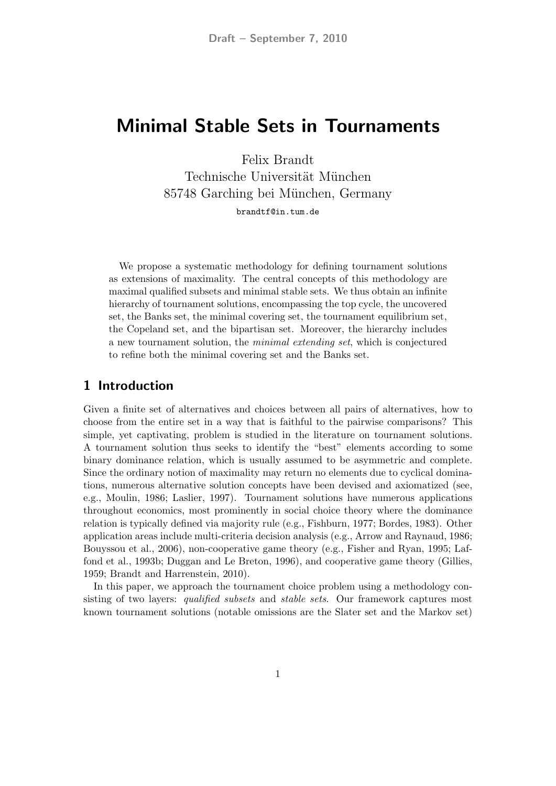# Minimal Stable Sets in Tournaments

Felix Brandt Technische Universität München 85748 Garching bei München, Germany brandtf@in.tum.de

We propose a systematic methodology for defining tournament solutions as extensions of maximality. The central concepts of this methodology are maximal qualified subsets and minimal stable sets. We thus obtain an infinite hierarchy of tournament solutions, encompassing the top cycle, the uncovered set, the Banks set, the minimal covering set, the tournament equilibrium set, the Copeland set, and the bipartisan set. Moreover, the hierarchy includes a new tournament solution, the minimal extending set, which is conjectured to refine both the minimal covering set and the Banks set.

### 1 Introduction

Given a finite set of alternatives and choices between all pairs of alternatives, how to choose from the entire set in a way that is faithful to the pairwise comparisons? This simple, yet captivating, problem is studied in the literature on tournament solutions. A tournament solution thus seeks to identify the "best" elements according to some binary dominance relation, which is usually assumed to be asymmetric and complete. Since the ordinary notion of maximality may return no elements due to cyclical dominations, numerous alternative solution concepts have been devised and axiomatized (see, e.g., Moulin, 1986; Laslier, 1997). Tournament solutions have numerous applications throughout economics, most prominently in social choice theory where the dominance relation is typically defined via majority rule (e.g., Fishburn, 1977; Bordes, 1983). Other application areas include multi-criteria decision analysis (e.g., Arrow and Raynaud, 1986; Bouyssou et al., 2006), non-cooperative game theory (e.g., Fisher and Ryan, 1995; Laffond et al., 1993b; Duggan and Le Breton, 1996), and cooperative game theory (Gillies, 1959; Brandt and Harrenstein, 2010).

In this paper, we approach the tournament choice problem using a methodology consisting of two layers: *qualified subsets* and *stable sets*. Our framework captures most known tournament solutions (notable omissions are the Slater set and the Markov set)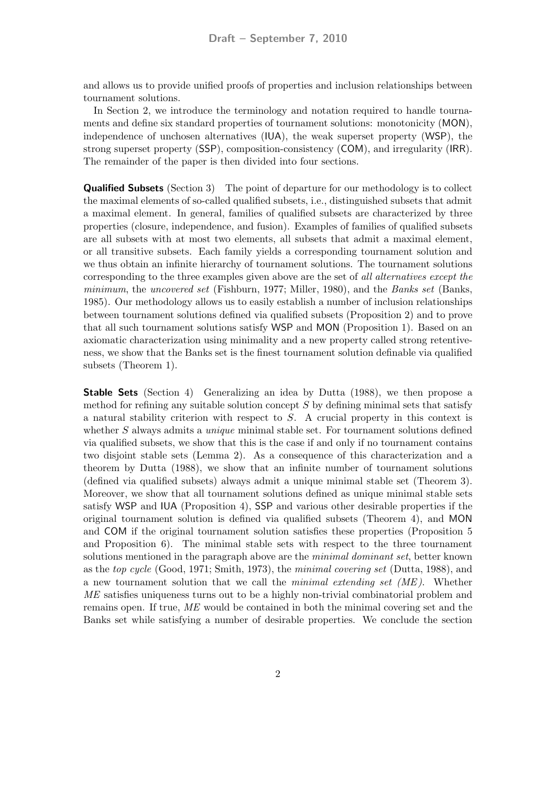and allows us to provide unified proofs of properties and inclusion relationships between tournament solutions.

In Section 2, we introduce the terminology and notation required to handle tournaments and define six standard properties of tournament solutions: monotonicity (MON), independence of unchosen alternatives (IUA), the weak superset property (WSP), the strong superset property (SSP), composition-consistency (COM), and irregularity (IRR). The remainder of the paper is then divided into four sections.

**Qualified Subsets** (Section 3) The point of departure for our methodology is to collect the maximal elements of so-called qualified subsets, i.e., distinguished subsets that admit a maximal element. In general, families of qualified subsets are characterized by three properties (closure, independence, and fusion). Examples of families of qualified subsets are all subsets with at most two elements, all subsets that admit a maximal element, or all transitive subsets. Each family yields a corresponding tournament solution and we thus obtain an infinite hierarchy of tournament solutions. The tournament solutions corresponding to the three examples given above are the set of all alternatives except the minimum, the uncovered set (Fishburn, 1977; Miller, 1980), and the Banks set (Banks, 1985). Our methodology allows us to easily establish a number of inclusion relationships between tournament solutions defined via qualified subsets (Proposition 2) and to prove that all such tournament solutions satisfy WSP and MON (Proposition 1). Based on an axiomatic characterization using minimality and a new property called strong retentiveness, we show that the Banks set is the finest tournament solution definable via qualified subsets (Theorem 1).

Stable Sets (Section 4) Generalizing an idea by Dutta (1988), we then propose a method for refining any suitable solution concept  $S$  by defining minimal sets that satisfy a natural stability criterion with respect to S. A crucial property in this context is whether S always admits a *unique* minimal stable set. For tournament solutions defined via qualified subsets, we show that this is the case if and only if no tournament contains two disjoint stable sets (Lemma 2). As a consequence of this characterization and a theorem by Dutta (1988), we show that an infinite number of tournament solutions (defined via qualified subsets) always admit a unique minimal stable set (Theorem 3). Moreover, we show that all tournament solutions defined as unique minimal stable sets satisfy WSP and IUA (Proposition 4), SSP and various other desirable properties if the original tournament solution is defined via qualified subsets (Theorem 4), and MON and COM if the original tournament solution satisfies these properties (Proposition 5 and Proposition 6). The minimal stable sets with respect to the three tournament solutions mentioned in the paragraph above are the *minimal dominant set*, better known as the top cycle (Good, 1971; Smith, 1973), the minimal covering set (Dutta, 1988), and a new tournament solution that we call the minimal extending set  $(ME)$ . Whether ME satisfies uniqueness turns out to be a highly non-trivial combinatorial problem and remains open. If true, ME would be contained in both the minimal covering set and the Banks set while satisfying a number of desirable properties. We conclude the section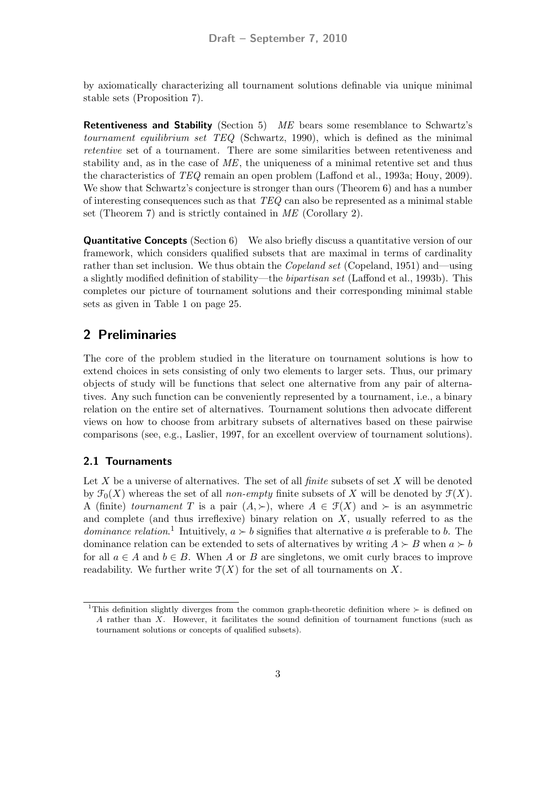by axiomatically characterizing all tournament solutions definable via unique minimal stable sets (Proposition 7).

**Retentiveness and Stability** (Section 5) ME bears some resemblance to Schwartz's tournament equilibrium set TEQ (Schwartz, 1990), which is defined as the minimal retentive set of a tournament. There are some similarities between retentiveness and stability and, as in the case of  $ME$ , the uniqueness of a minimal retentive set and thus the characteristics of TEQ remain an open problem (Laffond et al., 1993a; Houy, 2009). We show that Schwartz's conjecture is stronger than ours (Theorem 6) and has a number of interesting consequences such as that  $TEQ$  can also be represented as a minimal stable set (Theorem 7) and is strictly contained in *ME* (Corollary 2).

**Quantitative Concepts** (Section 6) We also briefly discuss a quantitative version of our framework, which considers qualified subsets that are maximal in terms of cardinality rather than set inclusion. We thus obtain the *Copeland set* (Copeland, 1951) and—using a slightly modified definition of stability—the bipartisan set (Laffond et al., 1993b). This completes our picture of tournament solutions and their corresponding minimal stable sets as given in Table 1 on page 25.

### 2 Preliminaries

The core of the problem studied in the literature on tournament solutions is how to extend choices in sets consisting of only two elements to larger sets. Thus, our primary objects of study will be functions that select one alternative from any pair of alternatives. Any such function can be conveniently represented by a tournament, i.e., a binary relation on the entire set of alternatives. Tournament solutions then advocate different views on how to choose from arbitrary subsets of alternatives based on these pairwise comparisons (see, e.g., Laslier, 1997, for an excellent overview of tournament solutions).

### 2.1 Tournaments

Let X be a universe of alternatives. The set of all *finite* subsets of set X will be denoted by  $\mathcal{F}_0(X)$  whereas the set of all non-empty finite subsets of X will be denoted by  $\mathcal{F}(X)$ . A (finite) tournament T is a pair  $(A, \succ)$ , where  $A \in \mathcal{F}(X)$  and  $\succ$  is an asymmetric and complete (and thus irreflexive) binary relation on  $X$ , usually referred to as the *dominance relation*.<sup>1</sup> Intuitively,  $a \succ b$  signifies that alternative a is preferable to b. The dominance relation can be extended to sets of alternatives by writing  $A \succ B$  when  $a \succ b$ for all  $a \in A$  and  $b \in B$ . When A or B are singletons, we omit curly braces to improve readability. We further write  $\mathfrak{T}(X)$  for the set of all tournaments on X.

<sup>&</sup>lt;sup>1</sup>This definition slightly diverges from the common graph-theoretic definition where  $\succ$  is defined on A rather than X. However, it facilitates the sound definition of tournament functions (such as tournament solutions or concepts of qualified subsets).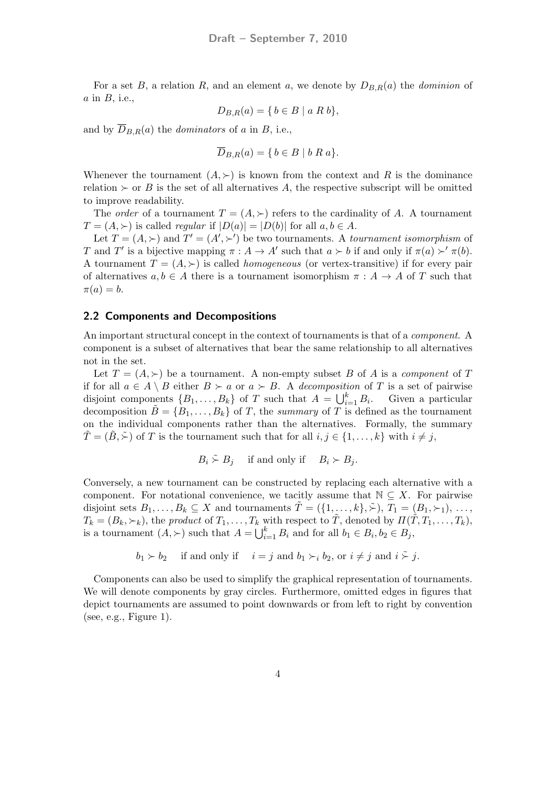For a set B, a relation R, and an element a, we denote by  $D_{B,R}(a)$  the *dominion* of  $a$  in  $B$ , i.e.,

$$
D_{B,R}(a) = \{ b \in B \mid a \ R \ b \},\
$$

and by  $\overline{D}_{B,R}(a)$  the *dominators* of a in B, i.e.,

$$
\overline{D}_{B,R}(a) = \{ b \in B \mid b \ R \ a \}.
$$

Whenever the tournament  $(A, \geq)$  is known from the context and R is the dominance relation  $\succ$  or B is the set of all alternatives A, the respective subscript will be omitted to improve readability.

The *order* of a tournament  $T = (A, \succ)$  refers to the cardinality of A. A tournament  $T = (A, \succ)$  is called *regular* if  $|D(a)| = |D(b)|$  for all  $a, b \in A$ .

Let  $T = (A, \succ)$  and  $T' = (A', \succ')$  be two tournaments. A *tournament isomorphism* of T and T' is a bijective mapping  $\pi : A \to A'$  such that  $a \succ b$  if and only if  $\pi(a) \succ' \pi(b)$ . A tournament  $T = (A, \succ)$  is called *homogeneous* (or vertex-transitive) if for every pair of alternatives  $a, b \in A$  there is a tournament isomorphism  $\pi : A \to A$  of T such that  $\pi(a) = b.$ 

#### 2.2 Components and Decompositions

An important structural concept in the context of tournaments is that of a *component*. A component is a subset of alternatives that bear the same relationship to all alternatives not in the set.

Let  $T = (A, \succ)$  be a tournament. A non-empty subset B of A is a component of T if for all  $a \in A \setminus B$  either  $B \succ a$  or  $a \succ B$ . A decomposition of T is a set of pairwise disjoint components  $\{B_1, \ldots, B_k\}$  of T such that  $A = \bigcup_{i=1}^k B_i$ . Given a particular decomposition  $\tilde{B} = \{B_1, \ldots, B_k\}$  of T, the summary of T is defined as the tournament on the individual components rather than the alternatives. Formally, the summary  $T = (B, \tilde{\succ})$  of T is the tournament such that for all  $i, j \in \{1, ..., k\}$  with  $i \neq j$ ,

$$
B_i \stackrel{\sim}{\sim} B_j \quad \text{ if and only if } \quad B_i \succ B_j.
$$

Conversely, a new tournament can be constructed by replacing each alternative with a component. For notational convenience, we tacitly assume that  $\mathbb{N} \subset X$ . For pairwise disjoint sets  $B_1, \ldots, B_k \subseteq X$  and tournaments  $\tilde{T} = (\{1, \ldots, k\}, \tilde{\succ}), T_1 = (B_1, \succ_1), \ldots,$  $T_k = (B_k, \succ_k)$ , the product of  $T_1, \ldots, T_k$  with respect to  $\tilde{T}$ , denoted by  $\Pi(\tilde{T}, T_1, \ldots, T_k)$ , is a tournament  $(A, \succ)$  such that  $A = \bigcup_{i=1}^{k} B_i$  and for all  $b_1 \in B_i, b_2 \in B_j$ ,

$$
b_1 \succ b_2
$$
 if and only if  $i = j$  and  $b_1 \succ_i b_2$ , or  $i \neq j$  and  $i \stackrel{\sim}{\succ} j$ .

Components can also be used to simplify the graphical representation of tournaments. We will denote components by gray circles. Furthermore, omitted edges in figures that depict tournaments are assumed to point downwards or from left to right by convention  $(see, e.g., Figure 1).$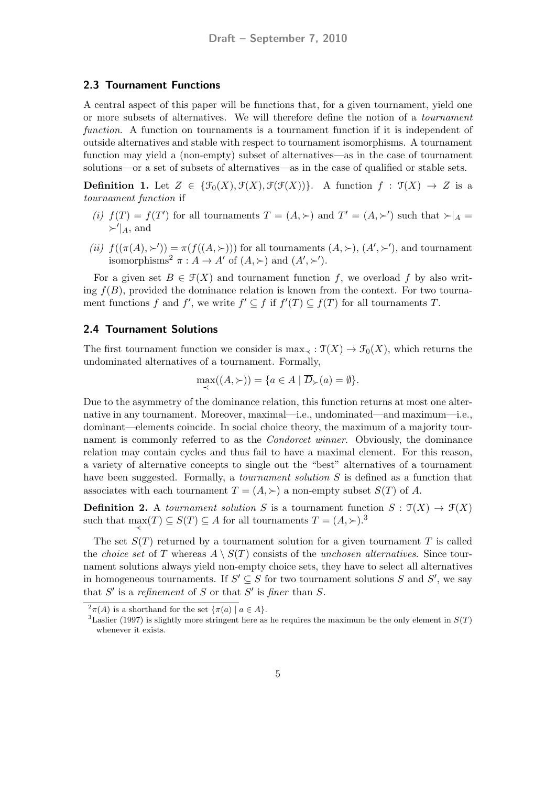#### 2.3 Tournament Functions

A central aspect of this paper will be functions that, for a given tournament, yield one or more subsets of alternatives. We will therefore define the notion of a tournament function. A function on tournaments is a tournament function if it is independent of outside alternatives and stable with respect to tournament isomorphisms. A tournament function may yield a (non-empty) subset of alternatives—as in the case of tournament solutions—or a set of subsets of alternatives—as in the case of qualified or stable sets.

**Definition 1.** Let  $Z \in {\mathcal{F}_0(X), \mathcal{F}(X), \mathcal{F}(\mathcal{F}(X))}.$  A function  $f : \mathcal{T}(X) \to Z$  is a tournament function if

- (i)  $f(T) = f(T')$  for all tournaments  $T = (A, \succ)$  and  $T' = (A, \succ')$  such that  $\succ|_{A} =$  $\succ'$ <sub>A</sub>, and
- (ii)  $f((\pi(A), \succ)) = \pi(f((A, \succ)))$  for all tournaments  $(A, \succ), (A', \succ')$ , and tournament isomorphisms<sup>2</sup>  $\pi : A \to A'$  of  $(A, \succ)$  and  $(A', \succ')$ .

For a given set  $B \in \mathcal{F}(X)$  and tournament function f, we overload f by also writing  $f(B)$ , provided the dominance relation is known from the context. For two tournament functions f and f', we write  $f' \subseteq f$  if  $f'(T) \subseteq f(T)$  for all tournaments T.

#### 2.4 Tournament Solutions

The first tournament function we consider is max $\chi : \mathfrak{T}(X) \to \mathfrak{T}_0(X)$ , which returns the undominated alternatives of a tournament. Formally,

$$
\max_{\prec}((A,\succ)) = \{a \in A \mid \overline{D}_{\succ}(a) = \emptyset\}.
$$

Due to the asymmetry of the dominance relation, this function returns at most one alternative in any tournament. Moreover, maximal—i.e., undominated—and maximum—i.e., dominant—elements coincide. In social choice theory, the maximum of a majority tournament is commonly referred to as the *Condorcet winner*. Obviously, the dominance relation may contain cycles and thus fail to have a maximal element. For this reason, a variety of alternative concepts to single out the "best" alternatives of a tournament have been suggested. Formally, a *tournament solution* S is defined as a function that associates with each tournament  $T = (A, \succ)$  a non-empty subset  $S(T)$  of A.

**Definition 2.** A tournament solution S is a tournament function  $S : \mathcal{T}(X) \to \mathcal{F}(X)$ such that  $\max_{\prec}(T) \subseteq S(T) \subseteq A$  for all tournaments  $T = (A, \succ)$ .<sup>3</sup>

The set  $S(T)$  returned by a tournament solution for a given tournament T is called the *choice set* of T whereas  $A \setminus S(T)$  consists of the *unchosen alternatives*. Since tournament solutions always yield non-empty choice sets, they have to select all alternatives in homogeneous tournaments. If  $S' \subseteq S$  for two tournament solutions S and S', we say that S' is a refinement of S or that S' is finer than S.

 $\sqrt[2]{\pi(A)}$  is a shorthand for the set  $\{\pi(a) \mid a \in A\}.$ 

<sup>&</sup>lt;sup>3</sup>Laslier (1997) is slightly more stringent here as he requires the maximum be the only element in  $S(T)$ whenever it exists.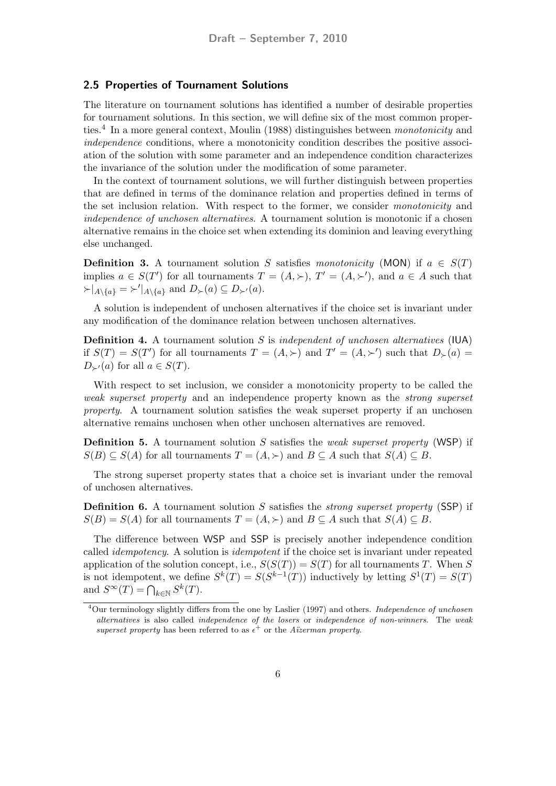#### 2.5 Properties of Tournament Solutions

The literature on tournament solutions has identified a number of desirable properties for tournament solutions. In this section, we will define six of the most common properties.<sup>4</sup> In a more general context, Moulin (1988) distinguishes between *monotonicity* and independence conditions, where a monotonicity condition describes the positive association of the solution with some parameter and an independence condition characterizes the invariance of the solution under the modification of some parameter.

In the context of tournament solutions, we will further distinguish between properties that are defined in terms of the dominance relation and properties defined in terms of the set inclusion relation. With respect to the former, we consider monotonicity and independence of unchosen alternatives. A tournament solution is monotonic if a chosen alternative remains in the choice set when extending its dominion and leaving everything else unchanged.

**Definition 3.** A tournament solution S satisfies monotonicity (MON) if  $a \in S(T)$ implies  $a \in S(T')$  for all tournaments  $T = (A, \succ), T' = (A, \succ')$ , and  $a \in A$  such that  $\succ |_{A\setminus\{a\}} = \succ' |_{A\setminus\{a\}}$  and  $D_{\succ}(a) \subseteq D_{\succ'}(a)$ .

A solution is independent of unchosen alternatives if the choice set is invariant under any modification of the dominance relation between unchosen alternatives.

**Definition 4.** A tournament solution S is *independent of unchosen alternatives* (IUA) if  $S(T) = S(T')$  for all tournaments  $T = (A, \succ)$  and  $T' = (A, \succ')$  such that  $D_{\succ}(a) =$  $D_{\succ'}(a)$  for all  $a \in S(T)$ .

With respect to set inclusion, we consider a monotonicity property to be called the weak superset property and an independence property known as the strong superset property. A tournament solution satisfies the weak superset property if an unchosen alternative remains unchosen when other unchosen alternatives are removed.

**Definition 5.** A tournament solution  $S$  satisfies the *weak superset property* (WSP) if  $S(B) \subseteq S(A)$  for all tournaments  $T = (A, \succ)$  and  $B \subseteq A$  such that  $S(A) \subseteq B$ .

The strong superset property states that a choice set is invariant under the removal of unchosen alternatives.

**Definition 6.** A tournament solution S satisfies the *strong superset property* (SSP) if  $S(B) = S(A)$  for all tournaments  $T = (A, \succ)$  and  $B \subseteq A$  such that  $S(A) \subseteq B$ .

The difference between WSP and SSP is precisely another independence condition called idempotency. A solution is idempotent if the choice set is invariant under repeated application of the solution concept, i.e.,  $S(S(T)) = S(T)$  for all tournaments T. When S is not idempotent, we define  $S^k(T) = S(S^{k-1}(T))$  inductively by letting  $S^1(T) = S(T)$ and  $S^{\infty}(T) = \bigcap_{k \in \mathbb{N}} S^k(T)$ .

 $4$ Our terminology slightly differs from the one by Laslier (1997) and others. *Independence of unchosen* alternatives is also called independence of the losers or independence of non-winners. The weak superset property has been referred to as  $\epsilon^+$  or the Aüzerman property.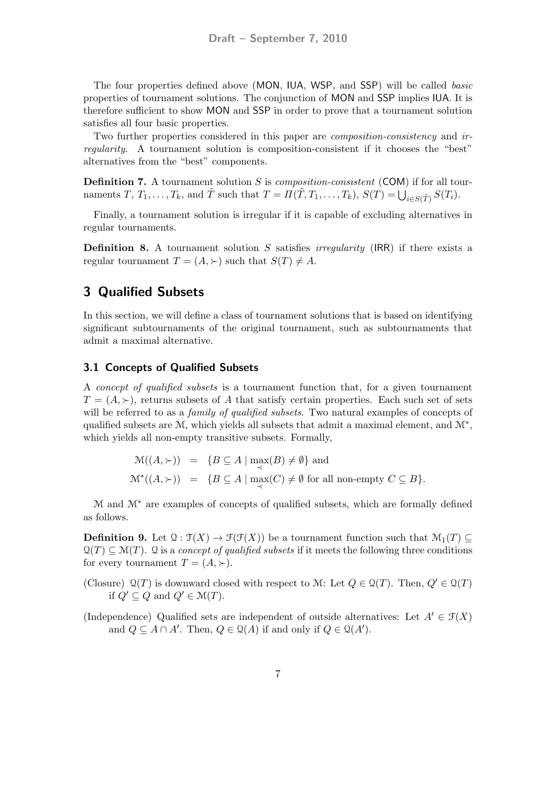The four properties defined above (MON, IUA, WSP, and SSP) will be called basic properties of tournament solutions. The conjunction of MON and SSP implies IUA. It is therefore sufficient to show MON and SSP in order to prove that a tournament solution satisfies all four basic properties.

Two further properties considered in this paper are composition-consistency and irregularity. A tournament solution is composition-consistent if it chooses the "best" alternatives from the "best" components.

**Definition 7.** A tournament solution  $S$  is *composition-consistent* (COM) if for all tournaments  $T, T_1, \ldots, T_k$ , and  $\tilde{T}$  such that  $T = \Pi(\tilde{T}, T_1, \ldots, T_k)$ ,  $S(T) = \bigcup_{i \in S(\tilde{T})} S(T_i)$ .

Finally, a tournament solution is irregular if it is capable of excluding alternatives in regular tournaments.

**Definition 8.** A tournament solution S satisfies *irregularity* (IRR) if there exists a regular tournament  $T = (A, \succ)$  such that  $S(T) \neq A$ .

## 3 Qualified Subsets

In this section, we will define a class of tournament solutions that is based on identifying significant subtournaments of the original tournament, such as subtournaments that admit a maximal alternative.

### 3.1 Concepts of Qualified Subsets

A concept of qualified subsets is a tournament function that, for a given tournament  $T = (A, \succ)$ , returns subsets of A that satisfy certain properties. Each such set of sets will be referred to as a *family of qualified subsets*. Two natural examples of concepts of qualified subsets are  $M$ , which yields all subsets that admit a maximal element, and  $M^*$ , which yields all non-empty transitive subsets. Formally,

$$
\mathcal{M}((A,\succ)) = \{ B \subseteq A \mid \max_{\prec}(B) \neq \emptyset \} \text{ and}
$$
  

$$
\mathcal{M}^*((A,\succ)) = \{ B \subseteq A \mid \max_{\prec}(C) \neq \emptyset \text{ for all non-empty } C \subseteq B \}.
$$

M and M<sup>∗</sup> are examples of concepts of qualified subsets, which are formally defined as follows.

**Definition 9.** Let  $\mathcal{Q}: \mathcal{T}(X) \to \mathcal{F}(\mathcal{F}(X))$  be a tournament function such that  $\mathcal{M}_1(T) \subseteq$  $\mathcal{Q}(T) \subset \mathcal{M}(T)$ . Q is a concept of qualified subsets if it meets the following three conditions for every tournament  $T = (A, \succ).$ 

(Closure)  $\mathcal{Q}(T)$  is downward closed with respect to M: Let  $Q \in \mathcal{Q}(T)$ . Then,  $Q' \in \mathcal{Q}(T)$ if  $Q' \subset Q$  and  $Q' \in \mathcal{M}(T)$ .

(Independence) Qualified sets are independent of outside alternatives: Let  $A' \in \mathcal{F}(X)$ and  $Q \subseteq A \cap A'$ . Then,  $Q \in \mathcal{Q}(A)$  if and only if  $Q \in \mathcal{Q}(A')$ .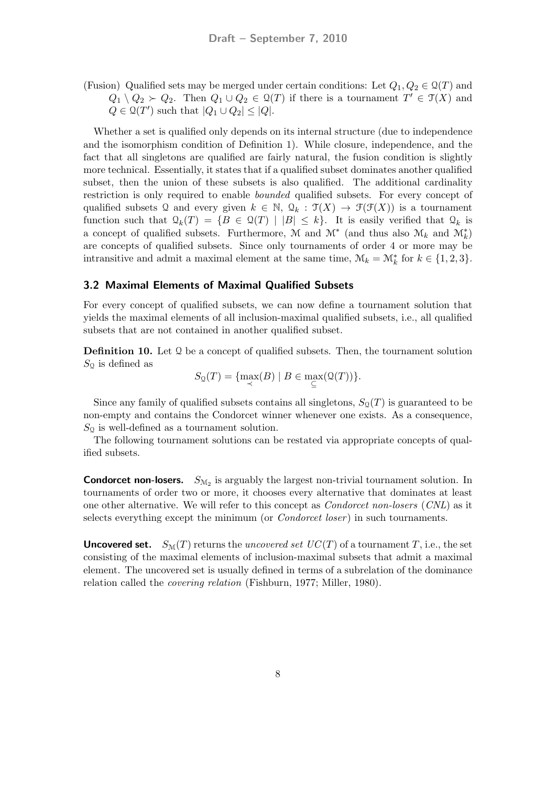(Fusion) Qualified sets may be merged under certain conditions: Let  $Q_1, Q_2 \in \mathcal{Q}(T)$  and  $Q_1 \setminus Q_2 \succ Q_2$ . Then  $Q_1 \cup Q_2 \in \mathcal{Q}(T)$  if there is a tournament  $T' \in \mathcal{T}(X)$  and  $Q \in \mathcal{Q}(T')$  such that  $|Q_1 \cup Q_2| \leq |Q|$ .

Whether a set is qualified only depends on its internal structure (due to independence and the isomorphism condition of Definition 1). While closure, independence, and the fact that all singletons are qualified are fairly natural, the fusion condition is slightly more technical. Essentially, it states that if a qualified subset dominates another qualified subset, then the union of these subsets is also qualified. The additional cardinality restriction is only required to enable bounded qualified subsets. For every concept of qualified subsets Q and every given  $k \in \mathbb{N}$ ,  $\mathcal{Q}_k : \mathcal{T}(X) \to \mathcal{F}(\mathcal{F}(X))$  is a tournament function such that  $\mathcal{Q}_k(T) = \{B \in \mathcal{Q}(T) \mid |B| \leq k\}.$  It is easily verified that  $\mathcal{Q}_k$  is a concept of qualified subsets. Furthermore, M and  $\mathcal{M}^*$  (and thus also  $\mathcal{M}_k$  and  $\mathcal{M}_k^*$ ) are concepts of qualified subsets. Since only tournaments of order 4 or more may be intransitive and admit a maximal element at the same time,  $\mathcal{M}_k = \mathcal{M}_k^*$  for  $k \in \{1, 2, 3\}$ .

#### 3.2 Maximal Elements of Maximal Qualified Subsets

For every concept of qualified subsets, we can now define a tournament solution that yields the maximal elements of all inclusion-maximal qualified subsets, i.e., all qualified subsets that are not contained in another qualified subset.

**Definition 10.** Let  $\mathcal{Q}$  be a concept of qualified subsets. Then, the tournament solution  $S<sub>Q</sub>$  is defined as

$$
S_{\mathfrak{Q}}(T) = \{ \max_{\prec}(B) \mid B \in \max_{\subseteq}(\mathfrak{Q}(T)) \}.
$$

Since any family of qualified subsets contains all singletons,  $S_0(T)$  is guaranteed to be non-empty and contains the Condorcet winner whenever one exists. As a consequence,  $S_{\mathcal{Q}}$  is well-defined as a tournament solution.

The following tournament solutions can be restated via appropriate concepts of qualified subsets.

**Condorcet non-losers.**  $S_{M_2}$  is arguably the largest non-trivial tournament solution. In tournaments of order two or more, it chooses every alternative that dominates at least one other alternative. We will refer to this concept as Condorcet non-losers (CNL) as it selects everything except the minimum (or *Condorcet loser*) in such tournaments.

**Uncovered set.**  $S_{\mathcal{M}}(T)$  returns the *uncovered set UC(T)* of a tournament T, i.e., the set consisting of the maximal elements of inclusion-maximal subsets that admit a maximal element. The uncovered set is usually defined in terms of a subrelation of the dominance relation called the covering relation (Fishburn, 1977; Miller, 1980).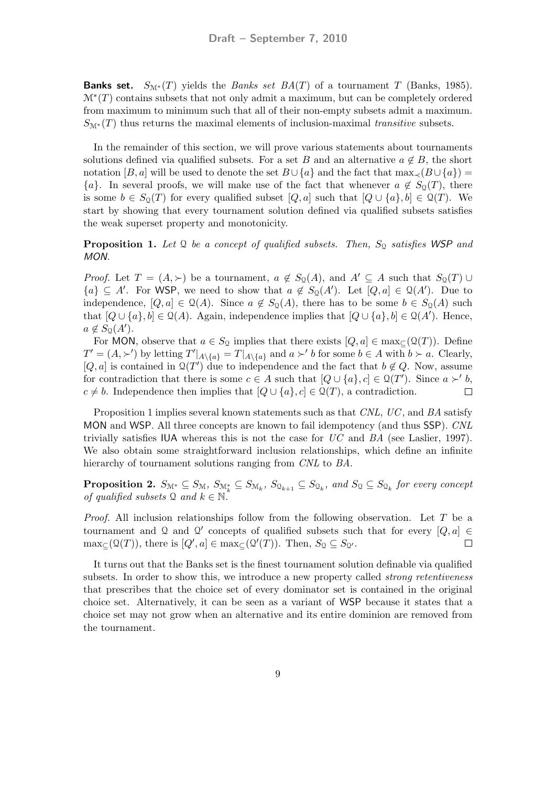**Banks set.**  $S_{\mathbb{N}^*}(T)$  yields the *Banks set BA(T)* of a tournament T (Banks, 1985).  $\mathcal{M}^*(T)$  contains subsets that not only admit a maximum, but can be completely ordered from maximum to minimum such that all of their non-empty subsets admit a maximum.  $S_{\mathcal{M}^*}(T)$  thus returns the maximal elements of inclusion-maximal transitive subsets.

In the remainder of this section, we will prove various statements about tournaments solutions defined via qualified subsets. For a set B and an alternative  $a \notin B$ , the short notation [B, a] will be used to denote the set  $B \cup \{a\}$  and the fact that  $\max_{\prec} (B \cup \{a\})$  =  ${a}$ . In several proofs, we will make use of the fact that whenever  $a \notin S_0(T)$ , there is some  $b \in S_{\mathcal{Q}}(T)$  for every qualified subset  $[Q, a]$  such that  $[Q \cup \{a\}, b] \in \mathcal{Q}(T)$ . We start by showing that every tournament solution defined via qualified subsets satisfies the weak superset property and monotonicity.

**Proposition 1.** Let Q be a concept of qualified subsets. Then,  $S_{\text{Q}}$  satisfies WSP and MON.

*Proof.* Let  $T = (A, \succ)$  be a tournament,  $a \notin S_{\mathfrak{Q}}(A)$ , and  $A' \subseteq A$  such that  $S_{\mathfrak{Q}}(T) \cup$  ${a} \subseteq A'$ . For WSP, we need to show that  $a \notin S_{\mathcal{Q}}(A')$ . Let  $[Q, a] \in \mathcal{Q}(A')$ . Due to independence,  $[Q, a] \in \mathcal{Q}(A)$ . Since  $a \notin S_{\mathcal{Q}}(A)$ , there has to be some  $b \in S_{\mathcal{Q}}(A)$  such that  $[Q \cup \{a\}, b] \in \mathcal{Q}(A)$ . Again, independence implies that  $[Q \cup \{a\}, b] \in \mathcal{Q}(A')$ . Hence,  $a \notin S_{\mathcal{Q}}(A').$ 

For MON, observe that  $a \in S_{\Omega}$  implies that there exists  $[Q, a] \in \max_{\mathbb{C}}(\Omega(T))$ . Define  $T' = (A, \succ')$  by letting  $T'|_{A \setminus \{a\}} = T|_{A \setminus \{a\}}$  and  $a \succ' b$  for some  $b \in A$  with  $b \succ a$ . Clearly,  $[Q, a]$  is contained in  $\mathfrak{Q}(T')$  due to independence and the fact that  $b \notin Q$ . Now, assume for contradiction that there is some  $c \in A$  such that  $[Q \cup \{a\}, c] \in \mathcal{Q}(T')$ . Since  $a \succ' b$ ,  $c \neq b$ . Independence then implies that  $[Q \cup \{a\}, c] \in \mathcal{Q}(T)$ , a contradiction.  $\Box$ 

Proposition 1 implies several known statements such as that CNL, UC, and BA satisfy MON and WSP. All three concepts are known to fail idempotency (and thus SSP). CNL trivially satisfies IUA whereas this is not the case for  $UC$  and  $BA$  (see Laslier, 1997). We also obtain some straightforward inclusion relationships, which define an infinite hierarchy of tournament solutions ranging from CNL to BA.

**Proposition 2.**  $S_{\mathcal{M}^*} \subseteq S_{\mathcal{M}}$ ,  $S_{\mathcal{M}^*_{k}} \subseteq S_{\mathcal{M}_k}$ ,  $S_{\mathcal{Q}_{k+1}} \subseteq S_{\mathcal{Q}_k}$ , and  $S_{\mathcal{Q}} \subseteq S_{\mathcal{Q}_k}$  for every concept of qualified subsets  $\mathcal{Q}$  and  $k \in \mathbb{N}$ .

*Proof.* All inclusion relationships follow from the following observation. Let  $T$  be a tournament and Q and Q' concepts of qualified subsets such that for every  $[Q, a] \in$  $\max_{\subseteq}(\mathcal{Q}(T))$ , there is  $[Q',a] \in \max_{\subseteq}(\mathcal{Q}'(T))$ . Then,  $S_{\mathcal{Q}} \subseteq S_{\mathcal{Q}}$ .  $\Box$ 

It turns out that the Banks set is the finest tournament solution definable via qualified subsets. In order to show this, we introduce a new property called *strong retentiveness* that prescribes that the choice set of every dominator set is contained in the original choice set. Alternatively, it can be seen as a variant of WSP because it states that a choice set may not grow when an alternative and its entire dominion are removed from the tournament.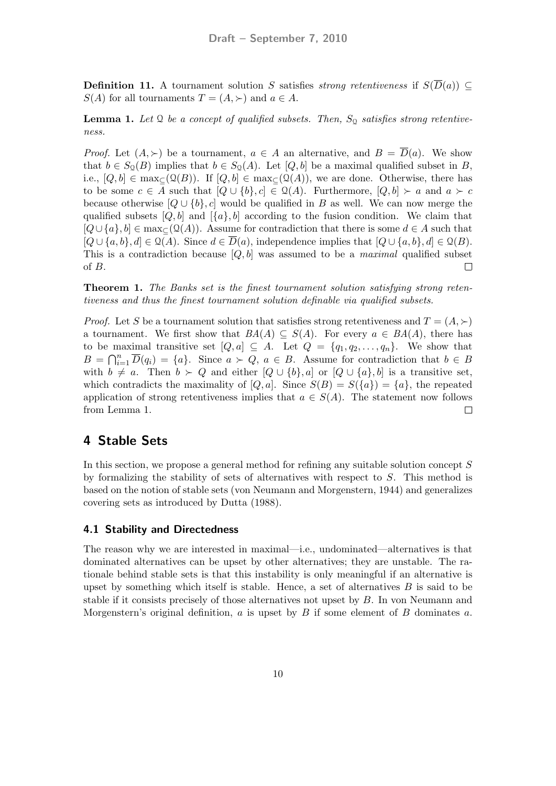**Definition 11.** A tournament solution S satisfies strong retentiveness if  $S(\overline{D}(a)) \subseteq$  $S(A)$  for all tournaments  $T = (A, \succ)$  and  $a \in A$ .

**Lemma 1.** Let  $\Omega$  be a concept of qualified subsets. Then,  $S_{\Omega}$  satisfies strong retentiveness.

*Proof.* Let  $(A, \succ)$  be a tournament,  $a \in A$  an alternative, and  $B = \overline{D}(a)$ . We show that  $b \in S_{\mathfrak{Q}}(B)$  implies that  $b \in S_{\mathfrak{Q}}(A)$ . Let  $[Q, b]$  be a maximal qualified subset in B, i.e.,  $[Q, b] \in \max_{\mathbb{C}} (Q(B))$ . If  $[Q, b] \in \max_{\mathbb{C}} (Q(A))$ , we are done. Otherwise, there has to be some  $c \in A$  such that  $[Q \cup \{b\}, c] \in \mathcal{Q}(A)$ . Furthermore,  $[Q, b] \succ a$  and  $a \succ c$ because otherwise  $[Q \cup \{b\}, c]$  would be qualified in B as well. We can now merge the qualified subsets  $[Q, b]$  and  $[\{a\}, b]$  according to the fusion condition. We claim that  $[Q\cup \{a\}, b] \in \max_{\subset} (Q(A))$ . Assume for contradiction that there is some  $d \in A$  such that  $[Q \cup \{a, b\}, d] \in \mathcal{Q}(A)$ . Since  $d \in \overline{D}(a)$ , independence implies that  $[Q \cup \{a, b\}, d] \in \mathcal{Q}(B)$ . This is a contradiction because  $[Q, b]$  was assumed to be a *maximal* qualified subset of B.  $\Box$ 

Theorem 1. The Banks set is the finest tournament solution satisfying strong retentiveness and thus the finest tournament solution definable via qualified subsets.

*Proof.* Let S be a tournament solution that satisfies strong retentiveness and  $T = (A, \succ)$ a tournament. We first show that  $BA(A) \subseteq S(A)$ . For every  $a \in BA(A)$ , there has to be maximal transitive set  $[Q, a] \subseteq A$ . Let  $Q = \{q_1, q_2, \ldots, q_n\}$ . We show that  $B = \bigcap_{i=1}^n \overline{D}(q_i) = \{a\}.$  Since  $a \succ Q, a \in B$ . Assume for contradiction that  $b \in B$ with  $b \neq a$ . Then  $b \succ Q$  and either  $[Q \cup \{b\}, a]$  or  $[Q \cup \{a\}, b]$  is a transitive set, which contradicts the maximality of  $[Q, a]$ . Since  $S(B) = S({a}) = {a}$ , the repeated application of strong retentiveness implies that  $a \in S(A)$ . The statement now follows from Lemma 1.  $\Box$ 

### 4 Stable Sets

In this section, we propose a general method for refining any suitable solution concept S by formalizing the stability of sets of alternatives with respect to S. This method is based on the notion of stable sets (von Neumann and Morgenstern, 1944) and generalizes covering sets as introduced by Dutta (1988).

#### 4.1 Stability and Directedness

The reason why we are interested in maximal—i.e., undominated—alternatives is that dominated alternatives can be upset by other alternatives; they are unstable. The rationale behind stable sets is that this instability is only meaningful if an alternative is upset by something which itself is stable. Hence, a set of alternatives  $B$  is said to be stable if it consists precisely of those alternatives not upset by B. In von Neumann and Morgenstern's original definition,  $a$  is upset by  $B$  if some element of  $B$  dominates  $a$ .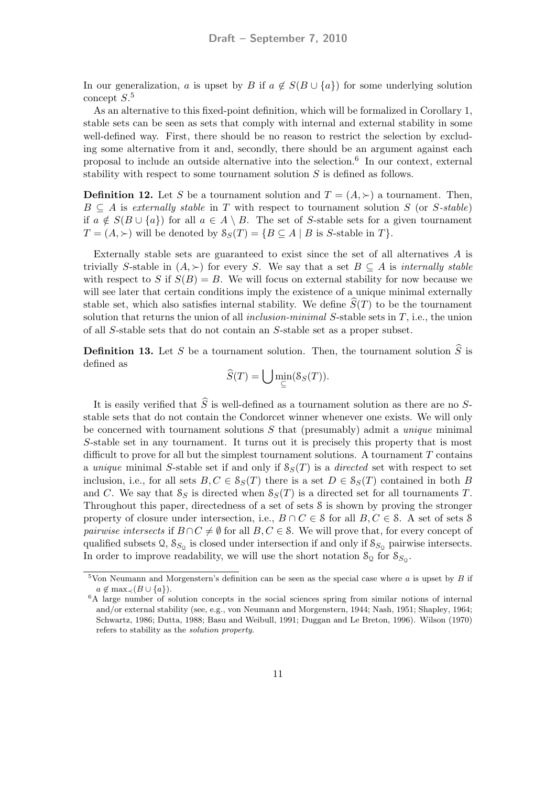In our generalization, a is upset by B if  $a \notin S(B \cup \{a\})$  for some underlying solution concept  $S<sup>5</sup>$ 

As an alternative to this fixed-point definition, which will be formalized in Corollary 1, stable sets can be seen as sets that comply with internal and external stability in some well-defined way. First, there should be no reason to restrict the selection by excluding some alternative from it and, secondly, there should be an argument against each proposal to include an outside alternative into the selection.<sup>6</sup> In our context, external stability with respect to some tournament solution S is defined as follows.

**Definition 12.** Let S be a tournament solution and  $T = (A, \succ)$  a tournament. Then,  $B \subseteq A$  is externally stable in T with respect to tournament solution S (or S-stable) if  $a \notin S(B \cup \{a\})$  for all  $a \in A \setminus B$ . The set of S-stable sets for a given tournament  $T = (A, \succ)$  will be denoted by  $S_S(T) = \{ B \subseteq A \mid B \text{ is } S\text{-stable in } T \}.$ 

Externally stable sets are guaranteed to exist since the set of all alternatives  $A$  is trivially S-stable in  $(A, \succ)$  for every S. We say that a set  $B \subseteq A$  is internally stable with respect to S if  $S(B) = B$ . We will focus on external stability for now because we will see later that certain conditions imply the existence of a unique minimal externally stable set, which also satisfies internal stability. We define  $\widehat{S}(T)$  to be the tournament solution that returns the union of all *inclusion-minimal*  $S$ -stable sets in  $T$ , i.e., the union of all S-stable sets that do not contain an S-stable set as a proper subset.

**Definition 13.** Let S be a tournament solution. Then, the tournament solution  $\tilde{S}$  is defined as

$$
\widehat{S}(T) = \bigcup \min_{\subseteq} (S_S(T)).
$$

It is easily verified that  $\widehat{S}$  is well-defined as a tournament solution as there are no Sstable sets that do not contain the Condorcet winner whenever one exists. We will only be concerned with tournament solutions  $S$  that (presumably) admit a *unique* minimal S-stable set in any tournament. It turns out it is precisely this property that is most difficult to prove for all but the simplest tournament solutions. A tournament  $T$  contains a unique minimal S-stable set if and only if  $S_S(T)$  is a directed set with respect to set inclusion, i.e., for all sets  $B, C \in S_S(T)$  there is a set  $D \in S_S(T)$  contained in both B and C. We say that  $S_S$  is directed when  $S_S(T)$  is a directed set for all tournaments T. Throughout this paper, directedness of a set of sets S is shown by proving the stronger property of closure under intersection, i.e.,  $B \cap C \in \mathcal{S}$  for all  $B, C \in \mathcal{S}$ . A set of sets  $\mathcal{S}$ *pairwise intersects* if  $B \cap C \neq \emptyset$  for all  $B, C \in \mathcal{S}$ . We will prove that, for every concept of qualified subsets  $\Omega$ ,  $S_{S_{\Omega}}$  is closed under intersection if and only if  $S_{S_{\Omega}}$  pairwise intersects. In order to improve readability, we will use the short notation  $S_{\mathcal{Q}}$  for  $S_{S_{\mathcal{Q}}}$ .

<sup>&</sup>lt;sup>5</sup>Von Neumann and Morgenstern's definition can be seen as the special case where  $a$  is upset by  $B$  if  $a \notin \max_{\prec} (B \cup \{a\}).$ 

<sup>&</sup>lt;sup>6</sup>A large number of solution concepts in the social sciences spring from similar notions of internal and/or external stability (see, e.g., von Neumann and Morgenstern, 1944; Nash, 1951; Shapley, 1964; Schwartz, 1986; Dutta, 1988; Basu and Weibull, 1991; Duggan and Le Breton, 1996). Wilson (1970) refers to stability as the solution property.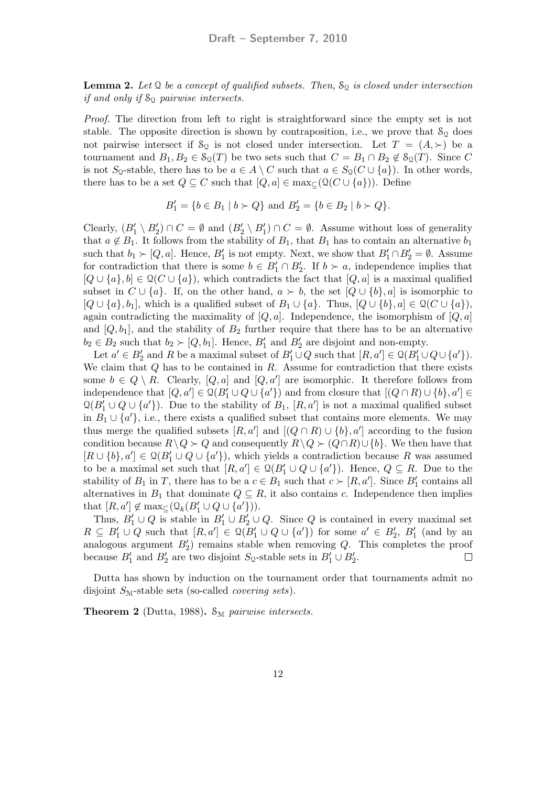**Lemma 2.** Let  $\Omega$  be a concept of qualified subsets. Then,  $S_{\Omega}$  is closed under intersection if and only if  $S_{\Omega}$  pairwise intersects.

Proof. The direction from left to right is straightforward since the empty set is not stable. The opposite direction is shown by contraposition, i.e., we prove that  $\mathcal{S}_{\mathbb{Q}}$  does not pairwise intersect if  $S_{\Omega}$  is not closed under intersection. Let  $T = (A, \succ)$  be a tournament and  $B_1, B_2 \in \mathcal{S}_{\mathcal{Q}}(T)$  be two sets such that  $C = B_1 \cap B_2 \notin \mathcal{S}_{\mathcal{Q}}(T)$ . Since C is not S<sub>Q</sub>-stable, there has to be  $a \in A \setminus C$  such that  $a \in S_0(C \cup \{a\})$ . In other words, there has to be a set  $Q \subseteq C$  such that  $[Q, a] \in \max_{\subseteq} (Q(C \cup \{a\}))$ . Define

$$
B'_1 = \{ b \in B_1 \mid b \succ Q \} \text{ and } B'_2 = \{ b \in B_2 \mid b \succ Q \}.
$$

Clearly,  $(B'_1 \setminus B'_2) \cap C = \emptyset$  and  $(B'_2 \setminus B'_1) \cap C = \emptyset$ . Assume without loss of generality that  $a \notin B_1$ . It follows from the stability of  $B_1$ , that  $B_1$  has to contain an alternative  $b_1$ such that  $b_1 \succ [Q, a]$ . Hence,  $B'_1$  is not empty. Next, we show that  $B'_1 \cap B'_2 = \emptyset$ . Assume for contradiction that there is some  $b \in B'_1 \cap B'_2$ . If  $b \succ a$ , independence implies that  $[Q \cup \{a\}, b] \in \mathcal{Q}(C \cup \{a\})$ , which contradicts the fact that  $[Q, a]$  is a maximal qualified subset in  $C \cup \{a\}$ . If, on the other hand,  $a \succ b$ , the set  $[Q \cup \{b\}, a]$  is isomorphic to  $[Q \cup \{a\}, b_1]$ , which is a qualified subset of  $B_1 \cup \{a\}$ . Thus,  $[Q \cup \{b\}, a] \in \mathcal{Q}(C \cup \{a\})$ , again contradicting the maximality of  $[Q, a]$ . Independence, the isomorphism of  $[Q, a]$ and  $[Q, b_1]$ , and the stability of  $B_2$  further require that there has to be an alternative  $b_2 \in B_2$  such that  $b_2 \succ [Q, b_1]$ . Hence,  $B'_1$  and  $B'_2$  are disjoint and non-empty.

Let  $a' \in B'_2$  and R be a maximal subset of  $B'_1 \cup Q$  such that  $[R, a'] \in \mathcal{Q}(B'_1 \cup Q \cup \{a'\})$ . We claim that  $Q$  has to be contained in  $R$ . Assume for contradiction that there exists some  $b \in Q \setminus R$ . Clearly,  $[Q, a]$  and  $[Q, a']$  are isomorphic. It therefore follows from independence that  $[Q, a'] \in \mathcal{Q}(B'_1 \cup Q \cup \{a'\})$  and from closure that  $[(Q \cap R) \cup \{b\}, a'] \in$  $\mathfrak{Q}(B'_1 \cup Q \cup \{a'\})$ . Due to the stability of  $B_1$ ,  $[R, a']$  is not a maximal qualified subset in  $B_1 \cup \{a'\}$ , i.e., there exists a qualified subset that contains more elements. We may thus merge the qualified subsets  $[R, a']$  and  $[(Q \cap R) \cup \{b\}, a']$  according to the fusion condition because  $R\setminus Q \succ Q$  and consequently  $R\setminus Q \succ (Q\cap R) \cup \{b\}$ . We then have that  $[R \cup \{b\}, a'] \in \mathcal{Q}(B_1' \cup Q \cup \{a'\}),$  which yields a contradiction because R was assumed to be a maximal set such that  $[R, a'] \in \mathcal{Q}(B'_1 \cup Q \cup \{a'\})$ . Hence,  $Q \subseteq R$ . Due to the stability of  $B_1$  in T, there has to be a  $c \in B_1$  such that  $c \succ [R, a']$ . Since  $B'_1$  contains all alternatives in  $B_1$  that dominate  $Q \subseteq R$ , it also contains c. Independence then implies that  $[R, a'] \notin \max_{\subseteq} (Q_k(B'_1 \cup Q \cup \{a'\})).$ 

Thus,  $B'_1 \cup Q$  is stable in  $B'_1 \cup B'_2 \cup Q$ . Since Q is contained in every maximal set  $R \subseteq B'_1 \cup Q$  such that  $[R, a'] \in \mathcal{Q}(B'_1 \cup Q \cup \{a'\})$  for some  $a' \in B'_2$ ,  $B'_1$  (and by an analogous argument  $B_2'$  remains stable when removing  $Q$ . This completes the proof because  $B'_1$  and  $B'_2$  are two disjoint  $S_0$ -stable sets in  $B'_1 \cup B'_2$ .  $\Box$ 

Dutta has shown by induction on the tournament order that tournaments admit no disjoint  $S_M$ -stable sets (so-called *covering sets*).

**Theorem 2** (Dutta, 1988).  $S_M$  pairwise intersects.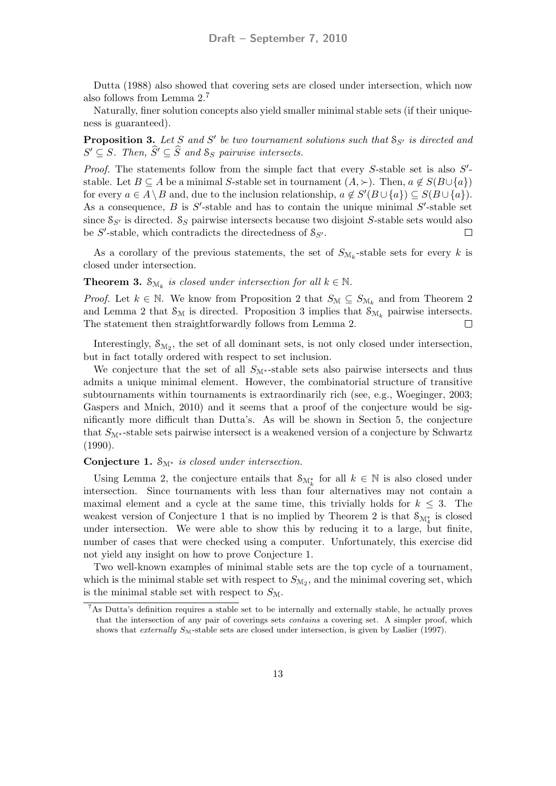Dutta (1988) also showed that covering sets are closed under intersection, which now also follows from Lemma 2.<sup>7</sup>

Naturally, finer solution concepts also yield smaller minimal stable sets (if their uniqueness is guaranteed).

**Proposition 3.** Let S and S' be two tournament solutions such that  $S_{S'}$  is directed and  $S' \subseteq S$ . Then,  $\widehat{S}' \subseteq \widehat{S}$  and  $S_S$  pairwise intersects.

*Proof.* The statements follow from the simple fact that every  $S$ -stable set is also  $S'$ stable. Let  $B \subseteq A$  be a minimal S-stable set in tournament  $(A, \succ)$ . Then,  $a \notin S(B \cup \{a\})$ for every  $a \in A \setminus B$  and, due to the inclusion relationship,  $a \notin S'(B \cup \{a\}) \subseteq S(B \cup \{a\})$ . As a consequence,  $B$  is  $S'$ -stable and has to contain the unique minimal  $S'$ -stable set since  $S_{\mathcal{S}'}$  is directed.  $S_{\mathcal{S}}$  pairwise intersects because two disjoint S-stable sets would also be  $S'$ -stable, which contradicts the directedness of  $S_{S'}$ .  $\Box$ 

As a corollary of the previous statements, the set of  $S_{\mathcal{M}_k}$ -stable sets for every k is closed under intersection.

**Theorem 3.**  $S_{\mathcal{M}_k}$  is closed under intersection for all  $k \in \mathbb{N}$ .

*Proof.* Let  $k \in \mathbb{N}$ . We know from Proposition 2 that  $S_{\mathcal{M}} \subseteq S_{\mathcal{M}_k}$  and from Theorem 2 and Lemma 2 that  $\mathcal{S}_{\mathcal{M}}$  is directed. Proposition 3 implies that  $\mathcal{S}_{\mathcal{M}_k}$  pairwise intersects. The statement then straightforwardly follows from Lemma 2.  $\Box$ 

Interestingly,  $S_{\mathcal{M}_2}$ , the set of all dominant sets, is not only closed under intersection, but in fact totally ordered with respect to set inclusion.

We conjecture that the set of all  $S_{\mathcal{M}^*}$ -stable sets also pairwise intersects and thus admits a unique minimal element. However, the combinatorial structure of transitive subtournaments within tournaments is extraordinarily rich (see, e.g., Woeginger, 2003; Gaspers and Mnich, 2010) and it seems that a proof of the conjecture would be significantly more difficult than Dutta's. As will be shown in Section 5, the conjecture that  $S_{\mathcal{M}^*}$ -stable sets pairwise intersect is a weakened version of a conjecture by Schwartz (1990).

#### Conjecture 1.  $S_{\mathcal{M}^*}$  is closed under intersection.

Using Lemma 2, the conjecture entails that  $\mathcal{S}_{\mathcal{M}_{k}^{*}}$  for all  $k \in \mathbb{N}$  is also closed under intersection. Since tournaments with less than four alternatives may not contain a maximal element and a cycle at the same time, this trivially holds for  $k \leq 3$ . The weakest version of Conjecture 1 that is no implied by Theorem 2 is that  $\mathcal{S}_{\mathcal{M}_{4}^{*}}$  is closed under intersection. We were able to show this by reducing it to a large, but finite, number of cases that were checked using a computer. Unfortunately, this exercise did not yield any insight on how to prove Conjecture 1.

Two well-known examples of minimal stable sets are the top cycle of a tournament, which is the minimal stable set with respect to  $S_{M_2}$ , and the minimal covering set, which is the minimal stable set with respect to  $S_{\mathcal{M}}$ .

<sup>7</sup>As Dutta's definition requires a stable set to be internally and externally stable, he actually proves that the intersection of any pair of coverings sets contains a covering set. A simpler proof, which shows that externally  $S_{\text{M}}$ -stable sets are closed under intersection, is given by Laslier (1997).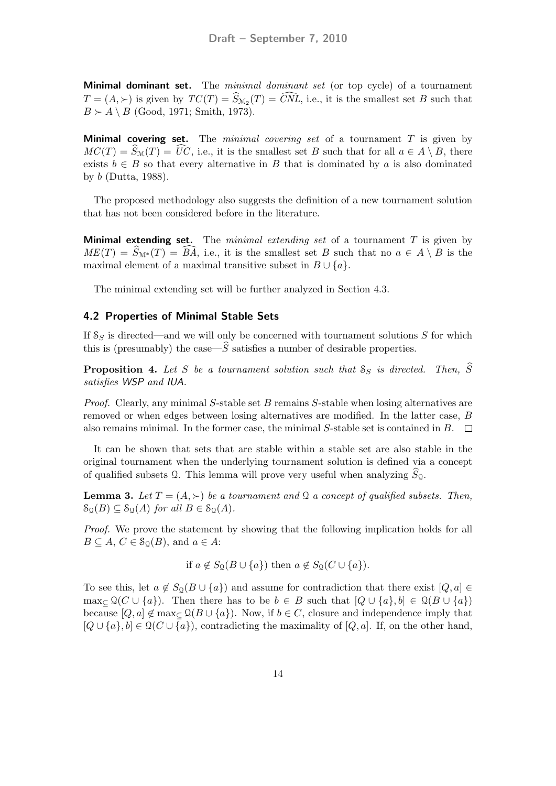**Minimal dominant set.** The *minimal dominant set* (or top cycle) of a tournament  $T = (A, \succ)$  is given by  $TC(T) = S_{\mathcal{M}_2}(T) = CNL$ , i.e., it is the smallest set B such that  $B \succ A \setminus B$  (Good, 1971; Smith, 1973).

**Minimal covering set.** The *minimal covering set* of a tournament  $T$  is given by  $MC(T) = \widehat{S}_{\mathcal{M}}(T) = \widehat{UC}$ , i.e., it is the smallest set B such that for all  $a \in A \setminus B$ , there exists  $b \in B$  so that every alternative in B that is dominated by a is also dominated by b (Dutta, 1988).

The proposed methodology also suggests the definition of a new tournament solution that has not been considered before in the literature.

**Minimal extending set.** The *minimal extending set* of a tournament  $T$  is given by  $ME(T) = S_{\mathcal{M}^*}(T) = BA$ , i.e., it is the smallest set B such that no  $a \in A \setminus B$  is the maximal element of a maximal transitive subset in  $B \cup \{a\}$ .

The minimal extending set will be further analyzed in Section 4.3.

#### 4.2 Properties of Minimal Stable Sets

If  $S_S$  is directed—and we will only be concerned with tournament solutions S for which this is (presumably) the case— $\widehat{S}$  satisfies a number of desirable properties.

**Proposition 4.** Let S be a tournament solution such that  $S_S$  is directed. Then,  $\widehat{S}$ satisfies WSP and IUA.

*Proof.* Clearly, any minimal  $S$ -stable set  $B$  remains  $S$ -stable when losing alternatives are removed or when edges between losing alternatives are modified. In the latter case, B also remains minimal. In the former case, the minimal S-stable set is contained in B.  $\Box$ 

It can be shown that sets that are stable within a stable set are also stable in the original tournament when the underlying tournament solution is defined via a concept of qualified subsets  $Q$ . This lemma will prove very useful when analyzing  $S_Q$ .

**Lemma 3.** Let  $T = (A, \succ)$  be a tournament and Q a concept of qualified subsets. Then,  $S_{\Omega}(B) \subseteq S_{\Omega}(A)$  for all  $B \in S_{\Omega}(A)$ .

Proof. We prove the statement by showing that the following implication holds for all  $B \subseteq A, C \in \mathcal{S}_0(B)$ , and  $a \in A$ :

if  $a \notin S_{\mathcal{Q}}(B \cup \{a\})$  then  $a \notin S_{\mathcal{Q}}(C \cup \{a\}).$ 

To see this, let  $a \notin S_0(B \cup \{a\})$  and assume for contradiction that there exist  $[Q, a] \in$ max<sub>⊆</sub>  $\mathcal{Q}(C \cup \{a\})$ . Then there has to be  $b \in B$  such that  $[Q \cup \{a\}, b] \in \mathcal{Q}(B \cup \{a\})$ because  $[Q, a] \notin \max_{\subset} \mathcal{Q}(B \cup \{a\})$ . Now, if  $b \in C$ , closure and independence imply that  $[Q \cup \{a\}, b] \in \mathcal{Q}(C \cup \{a\})$ , contradicting the maximality of  $[Q, a]$ . If, on the other hand,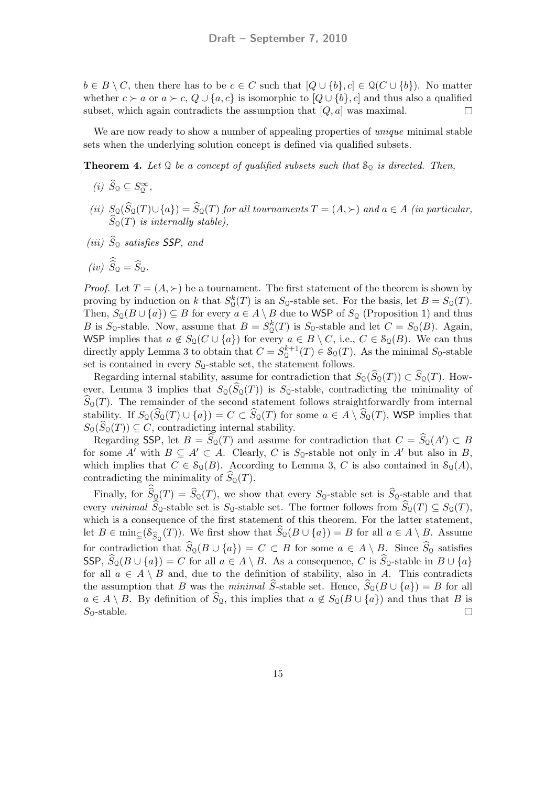$b \in B \setminus C$ , then there has to be  $c \in C$  such that  $[Q \cup \{b\}, c] \in \mathcal{Q}(C \cup \{b\})$ . No matter whether  $c \succ a$  or  $a \succ c$ ,  $Q \cup \{a, c\}$  is isomorphic to  $[Q \cup \{b\}, c]$  and thus also a qualified subset, which again contradicts the assumption that  $[Q, a]$  was maximal.  $\Box$ 

We are now ready to show a number of appealing properties of *unique* minimal stable sets when the underlying solution concept is defined via qualified subsets.

**Theorem 4.** Let  $\Omega$  be a concept of qualified subsets such that  $S_{\Omega}$  is directed. Then,

- (*i*)  $\widehat{S}_\mathcal{Q} \subseteq S_\mathcal{Q}^\infty$ ,
- (ii)  $S_{\mathcal{Q}}(S_{\mathcal{Q}}(T) \cup \{a\}) = S_{\mathcal{Q}}(T)$  for all tournaments  $T = (A, \succ)$  and  $a \in A$  (in particular,  $S_{\mathcal{Q}}(T)$  is internally stable),
- (*iii*)  $S_{\Omega}$  satisfies **SSP**, and

$$
(iv) \ \widehat{S}_\mathfrak{Q} = \widehat{S}_\mathfrak{Q}.
$$

*Proof.* Let  $T = (A, \succ)$  be a tournament. The first statement of the theorem is shown by proving by induction on k that  $S^k_0(T)$  is an  $S_0$ -stable set. For the basis, let  $B = S_0(T)$ . Then,  $S_{\mathcal{Q}}(B \cup \{a\}) \subseteq B$  for every  $a \in A \setminus B$  due to WSP of  $S_{\mathcal{Q}}$  (Proposition 1) and thus B is S<sub>Q</sub>-stable. Now, assume that  $B = S_{\mathcal{Q}}^{k}(T)$  is S<sub>Q</sub>-stable and let  $C = S_{\mathcal{Q}}(B)$ . Again, WSP implies that  $a \notin S_0(C \cup \{a\})$  for every  $a \in B \setminus C$ , i.e.,  $C \in S_0(B)$ . We can thus directly apply Lemma 3 to obtain that  $C = S_0^{k+1}$  $\mathcal{S}_\mathcal{Q}(T) \in \mathcal{S}_\mathcal{Q}(T)$ . As the minimal  $S_\mathcal{Q}$ -stable set is contained in every  $S_{\mathcal{Q}}$ -stable set, the statement follows.

Regarding internal stability, assume for contradiction that  $S_{\mathfrak{Q}}(S_{\mathfrak{Q}}(T)) \subset S_{\mathfrak{Q}}(T)$ . However, Lemma 3 implies that  $S_{\mathcal{Q}}(S_{\mathcal{Q}}(T))$  is  $S_{\mathcal{Q}}$ -stable, contradicting the minimality of  $S_{\mathfrak{Q}}(T)$ . The remainder of the second statement follows straightforwardly from internal stability. If  $S_{\mathcal{Q}}(S_{\mathcal{Q}}(T) \cup \{a\}) = C \subset S_{\mathcal{Q}}(T)$  for some  $a \in A \setminus S_{\mathcal{Q}}(T)$ , WSP implies that  $S_{\mathcal{Q}}(S_{\mathcal{Q}}(T)) \subseteq C$ , contradicting internal stability.

Regarding SSP, let  $B = \widehat{S}_0(T)$  and assume for contradiction that  $C = \widehat{S}_0(A') \subset B$ for some A' with  $B \subseteq A' \subset A$ . Clearly, C is S<sub>Q</sub>-stable not only in A' but also in B, which implies that  $C \in \mathcal{S}_{\mathcal{Q}}(B)$ . According to Lemma 3, C is also contained in  $\mathcal{S}_{\mathcal{Q}}(A)$ , contradicting the minimality of  $S_{\mathcal{Q}}(T)$ .

Finally, for  $S_{\mathcal{Q}}(T) = S_{\mathcal{Q}}(T)$ , we show that every  $S_{\mathcal{Q}}$ -stable set is  $S_{\mathcal{Q}}$ -stable and that every minimal  $S_0$ -stable set is  $S_0$ -stable set. The former follows from  $S_0(T) \subseteq S_0(T)$ , which is a consequence of the first statement of this theorem. For the latter statement, let  $B \in \min_{\subseteq} (\mathcal{S}_{\widehat{S}_{\Omega}}(T))$ . We first show that  $S_{\Omega}(B \cup \{a\}) = B$  for all  $a \in A \setminus B$ . Assume for contradiction that  $S_{\mathfrak{Q}}(B \cup \{a\}) = C \subset B$  for some  $a \in A \setminus B$ . Since  $S_{\mathfrak{Q}}$  satisfies SSP,  $S_{\mathfrak{Q}}(B \cup \{a\}) = C$  for all  $a \in A \setminus B$ . As a consequence, C is  $S_{\mathfrak{Q}}$ -stable in  $B \cup \{a\}$ for all  $a \in A \setminus B$  and, due to the definition of stability, also in A. This contradicts the assumption that B was the minimal S-stable set. Hence,  $S_{\mathfrak{Q}}(B \cup \{a\}) = B$  for all  $a \in A \setminus B$ . By definition of  $S_{\mathcal{Q}}$ , this implies that  $a \notin S_{\mathcal{Q}}(B \cup \{a\})$  and thus that  $B$  is  $S_{\text{Q}}$ -stable.  $\Box$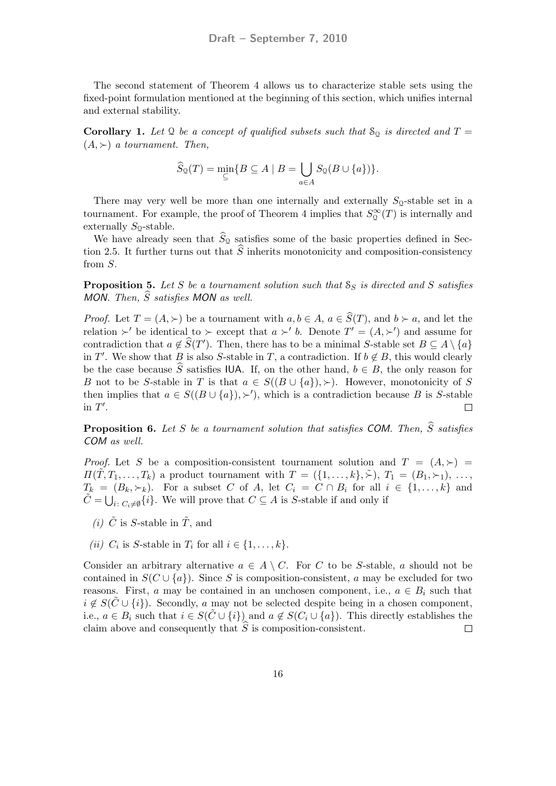The second statement of Theorem 4 allows us to characterize stable sets using the fixed-point formulation mentioned at the beginning of this section, which unifies internal and external stability.

**Corollary 1.** Let Q be a concept of qualified subsets such that  $S_Q$  is directed and  $T =$  $(A, \succ)$  a tournament. Then,

$$
\widehat{S}_{\mathfrak{Q}}(T) = \min_{\subseteq} \{ B \subseteq A \mid B = \bigcup_{a \in A} S_{\mathfrak{Q}}(B \cup \{a\}) \}.
$$

There may very well be more than one internally and externally  $S_0$ -stable set in a tournament. For example, the proof of Theorem 4 implies that  $S_2^{\infty}(T)$  is internally and externally  $S_2$ -stable.

We have already seen that  $S_{\Omega}$  satisfies some of the basic properties defined in Section 2.5. It further turns out that  $\widehat{S}$  inherits monotonicity and composition-consistency from S.

**Proposition 5.** Let S be a tournament solution such that  $S_S$  is directed and S satisfies MON. Then,  $\widehat{S}$  satisfies MON as well.

*Proof.* Let  $T = (A, \succ)$  be a tournament with  $a, b \in A$ ,  $a \in \widehat{S}(T)$ , and  $b \succ a$ , and let the relation  $\succ'$  be identical to  $\succ$  except that  $a \succ' b$ . Denote  $T' = (A, \succ')$  and assume for contradiction that  $a \notin \widehat{S}(T')$ . Then, there has to be a minimal S-stable set  $B \subseteq A \setminus \{a\}$ in T'. We show that B is also S-stable in T, a contradiction. If  $b \notin B$ , this would clearly be the case because S satisfies IUA. If, on the other hand,  $b \in B$ , the only reason for B not to be S-stable in T is that  $a \in S((B \cup \{a\}), \succ)$ . However, monotonicity of S then implies that  $a \in S((B \cup \{a\}), \succ')$ , which is a contradiction because B is S-stable in  $T'$ .  $\Box$ 

**Proposition 6.** Let S be a tournament solution that satisfies COM. Then,  $\widehat{S}$  satisfies COM as well.

*Proof.* Let S be a composition-consistent tournament solution and  $T = (A, \succ)$  $\Pi(\tilde{T}, T_1, \ldots, T_k)$  a product tournament with  $T = (\{1, \ldots, k\}, \tilde{\succ}), T_1 = (B_1, \succ_1), \ldots,$  $T_k = (B_k, \succ_k)$ . For a subset C of A, let  $C_i = C \cap B_i$  for all  $i \in \{1, ..., k\}$  and  $\tilde{C} = \bigcup_{i \colon C_i \neq \emptyset} \{i\}.$  We will prove that  $C \subseteq A$  is S-stable if and only if

- (*i*)  $\tilde{C}$  is *S*-stable in  $\tilde{T}$ , and
- (*ii*)  $C_i$  is S-stable in  $T_i$  for all  $i \in \{1, \ldots, k\}.$

Consider an arbitrary alternative  $a \in A \setminus C$ . For C to be S-stable, a should not be contained in  $S(C \cup \{a\})$ . Since S is composition-consistent, a may be excluded for two reasons. First, a may be contained in an unchosen component, i.e.,  $a \in B_i$  such that  $i \notin S(C \cup \{i\})$ . Secondly, a may not be selected despite being in a chosen component, i.e.,  $a \in B_i$  such that  $i \in S(\tilde{C} \cup \{i\})$  and  $a \notin S(C_i \cup \{a\})$ . This directly establishes the claim above and consequently that  $\widehat{S}$  is composition-consistent.  $\Box$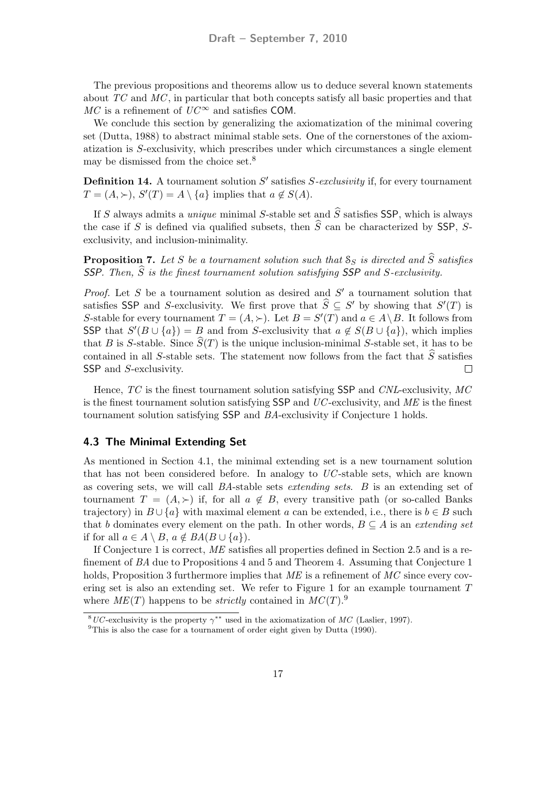The previous propositions and theorems allow us to deduce several known statements about TC and MC , in particular that both concepts satisfy all basic properties and that  $MC$  is a refinement of  $UC^{\infty}$  and satisfies COM.

We conclude this section by generalizing the axiomatization of the minimal covering set (Dutta, 1988) to abstract minimal stable sets. One of the cornerstones of the axiomatization is S-exclusivity, which prescribes under which circumstances a single element may be dismissed from the choice set.<sup>8</sup>

**Definition 14.** A tournament solution  $S'$  satisfies  $S$ -exclusivity if, for every tournament  $T = (A, \succ), S'(T) = A \setminus \{a\}$  implies that  $a \notin S(A)$ .

If S always admits a *unique* minimal S-stable set and  $\hat{S}$  satisfies SSP, which is always the case if S is defined via qualified subsets, then  $\hat{S}$  can be characterized by SSP, Sexclusivity, and inclusion-minimality.

**Proposition 7.** Let S be a tournament solution such that  $S_S$  is directed and  $\hat{S}$  satisfies SSP. Then,  $\hat{S}$  is the finest tournament solution satisfying SSP and S-exclusivity.

*Proof.* Let S be a tournament solution as desired and  $S'$  a tournament solution that satisfies SSP and S-exclusivity. We first prove that  $\hat{S} \subseteq S'$  by showing that  $S'(T)$  is S-stable for every tournament  $T = (A, \succ)$ . Let  $B = S'(T)$  and  $a \in A \setminus B$ . It follows from SSP that  $S'(B \cup \{a\}) = B$  and from S-exclusivity that  $a \notin S(B \cup \{a\})$ , which implies that B is S-stable. Since  $\hat{S}(T)$  is the unique inclusion-minimal S-stable set, it has to be contained in all S-stable sets. The statement now follows from the fact that  $\hat{S}$  satisfies<br>SSP and S-exclusivity SSP and *S*-exclusivity.

Hence, TC is the finest tournament solution satisfying SSP and CNL-exclusivity, MC is the finest tournament solution satisfying  $SSP$  and  $UC$ -exclusivity, and  $ME$  is the finest tournament solution satisfying SSP and BA-exclusivity if Conjecture 1 holds.

#### 4.3 The Minimal Extending Set

As mentioned in Section 4.1, the minimal extending set is a new tournament solution that has not been considered before. In analogy to  $UC$ -stable sets, which are known as covering sets, we will call BA-stable sets extending sets. B is an extending set of tournament  $T = (A, \succ)$  if, for all  $a \notin B$ , every transitive path (or so-called Banks trajectory) in  $B \cup \{a\}$  with maximal element a can be extended, i.e., there is  $b \in B$  such that b dominates every element on the path. In other words,  $B \subseteq A$  is an extending set if for all  $a \in A \setminus B$ ,  $a \notin BA(B \cup \{a\})$ .

If Conjecture 1 is correct, ME satisfies all properties defined in Section 2.5 and is a refinement of BA due to Propositions 4 and 5 and Theorem 4. Assuming that Conjecture 1 holds, Proposition 3 furthermore implies that  $ME$  is a refinement of  $MC$  since every covering set is also an extending set. We refer to Figure 1 for an example tournament T where  $ME(T)$  happens to be *strictly* contained in  $MC(T)$ .<sup>9</sup>

<sup>&</sup>lt;sup>8</sup>UC-exclusivity is the property  $\gamma^{**}$  used in the axiomatization of MC (Laslier, 1997).

<sup>&</sup>lt;sup>9</sup>This is also the case for a tournament of order eight given by Dutta (1990).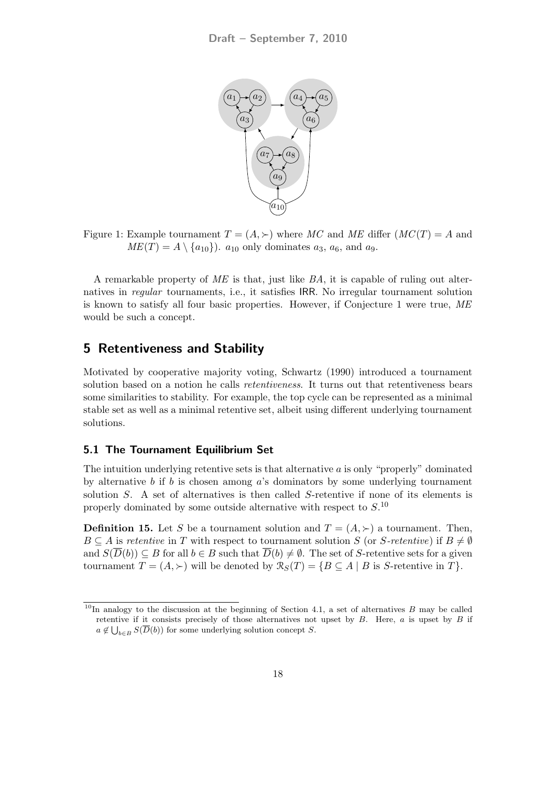

Figure 1: Example tournament  $T = (A, \succ)$  where MC and ME differ  $(MC(T)) = A$  and  $ME(T) = A \setminus \{a_{10}\}\)$ .  $a_{10}$  only dominates  $a_3$ ,  $a_6$ , and  $a_9$ .

A remarkable property of ME is that, just like BA, it is capable of ruling out alternatives in regular tournaments, i.e., it satisfies IRR. No irregular tournament solution is known to satisfy all four basic properties. However, if Conjecture 1 were true, ME would be such a concept.

### 5 Retentiveness and Stability

Motivated by cooperative majority voting, Schwartz (1990) introduced a tournament solution based on a notion he calls *retentiveness*. It turns out that retentiveness bears some similarities to stability. For example, the top cycle can be represented as a minimal stable set as well as a minimal retentive set, albeit using different underlying tournament solutions.

#### 5.1 The Tournament Equilibrium Set

The intuition underlying retentive sets is that alternative  $\alpha$  is only "properly" dominated by alternative b if b is chosen among a's dominators by some underlying tournament solution S. A set of alternatives is then called S-retentive if none of its elements is properly dominated by some outside alternative with respect to  $S<sup>10</sup>$ 

**Definition 15.** Let S be a tournament solution and  $T = (A, \succ)$  a tournament. Then,  $B \subseteq A$  is retentive in T with respect to tournament solution S (or S-retentive) if  $B \neq \emptyset$ and  $S(\overline{D}(b)) \subseteq B$  for all  $b \in B$  such that  $\overline{D}(b) \neq \emptyset$ . The set of S-retentive sets for a given tournament  $T = (A, \succ)$  will be denoted by  $\mathcal{R}_S(T) = \{ B \subseteq A \mid B \text{ is } S\text{-retenitive in } T \}.$ 

<sup>&</sup>lt;sup>10</sup>In analogy to the discussion at the beginning of Section 4.1, a set of alternatives  $B$  may be called retentive if it consists precisely of those alternatives not upset by  $B$ . Here,  $a$  is upset by  $B$  if  $a \notin \bigcup_{b \in B} S(\overline{D}(b))$  for some underlying solution concept S.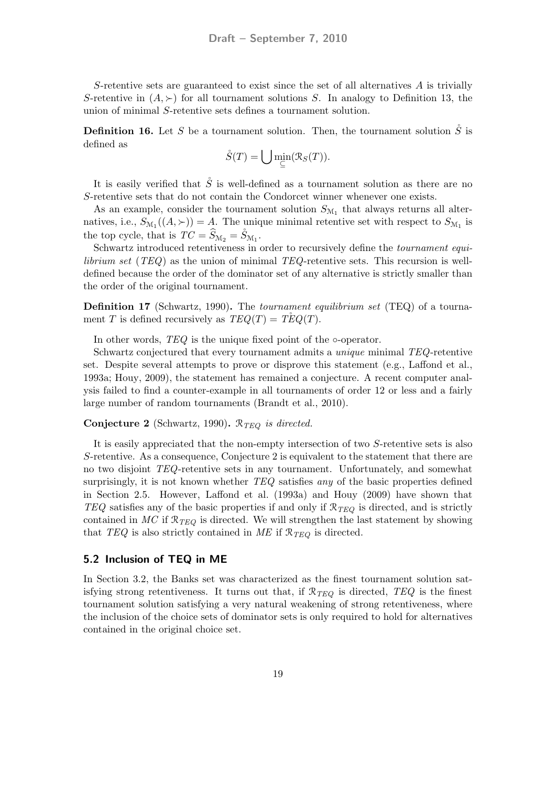S-retentive sets are guaranteed to exist since the set of all alternatives  $A$  is trivially S-retentive in  $(A, \succ)$  for all tournament solutions S. In analogy to Definition 13, the union of minimal S-retentive sets defines a tournament solution.

**Definition 16.** Let S be a tournament solution. Then, the tournament solution  $\check{S}$  is defined as

$$
\mathring{S}(T) = \bigcup \min_{\subseteq} (\mathcal{R}_S(T)).
$$

It is easily verified that  $\hat{S}$  is well-defined as a tournament solution as there are no S-retentive sets that do not contain the Condorcet winner whenever one exists.

As an example, consider the tournament solution  $S_{\mathcal{M}_1}$  that always returns all alternatives, i.e.,  $S_{\mathcal{M}_1}((A, \succ)) = A$ . The unique minimal retentive set with respect to  $S_{\mathcal{M}_1}$  is the top cycle, that is  $TC = \widehat{S}_{M_2} = \widehat{S}_{M_1}$ .

Schwartz introduced retentiveness in order to recursively define the tournament equi*librium set* ( $TEQ$ ) as the union of minimal  $TEQ$ -retentive sets. This recursion is welldefined because the order of the dominator set of any alternative is strictly smaller than the order of the original tournament.

Definition 17 (Schwartz, 1990). The *tournament equilibrium set* (TEQ) of a tournament T is defined recursively as  $TEQ(T) = TEQ(T)$ .

In other words, TEQ is the unique fixed point of the ∘-operator.

Schwartz conjectured that every tournament admits a unique minimal TEQ-retentive set. Despite several attempts to prove or disprove this statement (e.g., Laffond et al., 1993a; Houy, 2009), the statement has remained a conjecture. A recent computer analysis failed to find a counter-example in all tournaments of order 12 or less and a fairly large number of random tournaments (Brandt et al., 2010).

#### **Conjecture 2** (Schwartz, 1990).  $\mathcal{R}_{TEQ}$  is directed.

It is easily appreciated that the non-empty intersection of two S-retentive sets is also S-retentive. As a consequence, Conjecture 2 is equivalent to the statement that there are no two disjoint TEQ-retentive sets in any tournament. Unfortunately, and somewhat surprisingly, it is not known whether  $TEQ$  satisfies any of the basic properties defined in Section 2.5. However, Laffond et al. (1993a) and Houy (2009) have shown that TEQ satisfies any of the basic properties if and only if  $\mathcal{R}_{TEQ}$  is directed, and is strictly contained in  $MC$  if  $\mathcal{R}_{TEQ}$  is directed. We will strengthen the last statement by showing that TEQ is also strictly contained in ME if  $\mathcal{R}_{TEQ}$  is directed.

#### 5.2 Inclusion of TEQ in ME

In Section 3.2, the Banks set was characterized as the finest tournament solution satisfying strong retentiveness. It turns out that, if  $\mathcal{R}_{TEQ}$  is directed, TEQ is the finest tournament solution satisfying a very natural weakening of strong retentiveness, where the inclusion of the choice sets of dominator sets is only required to hold for alternatives contained in the original choice set.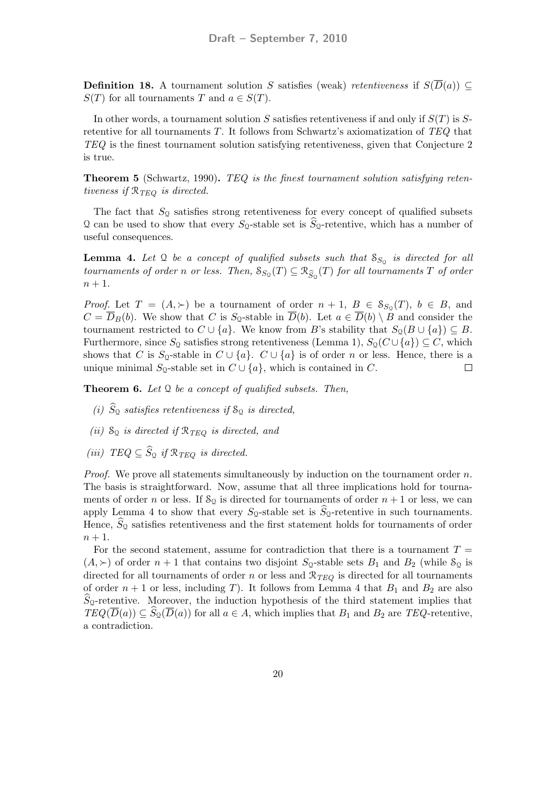**Definition 18.** A tournament solution S satisfies (weak) retentiveness if  $S(\overline{D}(a)) \subseteq$  $S(T)$  for all tournaments T and  $a \in S(T)$ .

In other words, a tournament solution S satisfies retentiveness if and only if  $S(T)$  is Sretentive for all tournaments T. It follows from Schwartz's axiomatization of TEQ that TEQ is the finest tournament solution satisfying retentiveness, given that Conjecture 2 is true.

Theorem 5 (Schwartz, 1990). TEQ is the finest tournament solution satisfying retentiveness if  $\mathcal{R}_{TEO}$  is directed.

The fact that  $S_{\mathcal{Q}}$  satisfies strong retentiveness for every concept of qualified subsets Q can be used to show that every  $S_Q$ -stable set is  $S_Q$ -retentive, which has a number of useful consequences.

**Lemma 4.** Let  $\Omega$  be a concept of qualified subsets such that  $S_{S_{\Omega}}$  is directed for all tournaments of order n or less. Then,  $S_{S_{\mathcal{Q}}}(T) \subseteq \mathcal{R}_{\widehat{S}_{\mathcal{Q}}}(T)$  for all tournaments T of order  $n+1$ .

*Proof.* Let  $T = (A, \succ)$  be a tournament of order  $n + 1$ ,  $B \in S_{S_0}(T)$ ,  $b \in B$ , and  $C = \overline{D}_B(b)$ . We show that C is  $S_Q$ -stable in  $\overline{D}(b)$ . Let  $a \in \overline{D}(b) \setminus B$  and consider the tournament restricted to  $C \cup \{a\}$ . We know from B's stability that  $S_{\mathfrak{Q}}(B \cup \{a\}) \subseteq B$ . Furthermore, since  $S_0$  satisfies strong retentiveness (Lemma 1),  $S_0(C \cup \{a\}) \subseteq C$ , which shows that C is S<sub>Q</sub>-stable in  $C \cup \{a\}$ .  $C \cup \{a\}$  is of order n or less. Hence, there is a unique minimal  $S_0$ -stable set in  $C \cup \{a\}$ , which is contained in C.  $\Box$ 

**Theorem 6.** Let  $\mathcal{Q}$  be a concept of qualified subsets. Then,

- (i)  $S_{\mathcal{Q}}$  satisfies retentiveness if  $S_{\mathcal{Q}}$  is directed,
- (ii)  $S_Q$  is directed if  $\mathcal{R}_{TEQ}$  is directed, and
- (iii)  $TEQ \subseteq S_{\mathfrak{Q}}$  if  $\mathcal{R}_{TEQ}$  is directed.

*Proof.* We prove all statements simultaneously by induction on the tournament order  $n$ . The basis is straightforward. Now, assume that all three implications hold for tournaments of order n or less. If  $S_0$  is directed for tournaments of order  $n + 1$  or less, we can apply Lemma 4 to show that every  $S_0$ -stable set is  $S_0$ -retentive in such tournaments. Hence,  $S_{\mathcal{Q}}$  satisfies retentiveness and the first statement holds for tournaments of order  $n+1$ .

For the second statement, assume for contradiction that there is a tournament  $T =$  $(A, \succ)$  of order  $n + 1$  that contains two disjoint  $S_9$ -stable sets  $B_1$  and  $B_2$  (while  $S_9$  is directed for all tournaments of order n or less and  $\mathcal{R}_{TEQ}$  is directed for all tournaments of order  $n + 1$  or less, including T). It follows from Lemma 4 that  $B_1$  and  $B_2$  are also  $S_9$ -retentive. Moreover, the induction hypothesis of the third statement implies that  $TEQ(\overline{D}(a)) \subseteq S_{\mathfrak{Q}}(\overline{D}(a))$  for all  $a \in A$ , which implies that  $B_1$  and  $B_2$  are TEQ-retentive, a contradiction.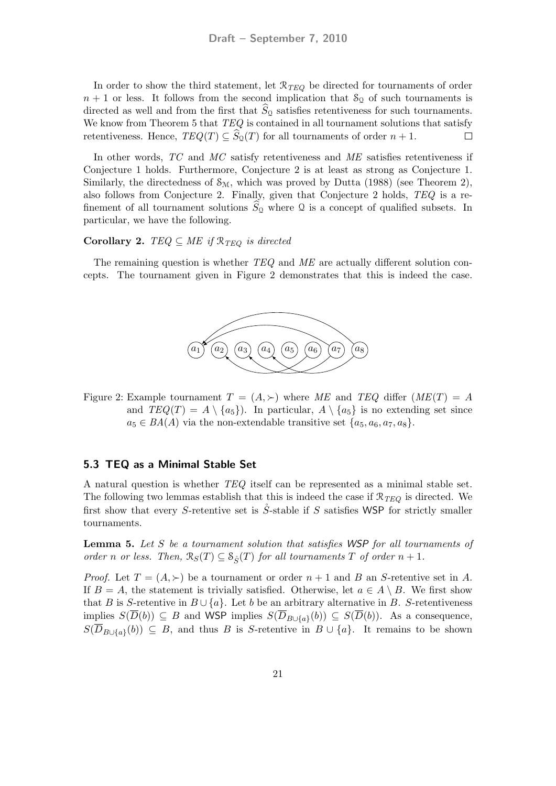In order to show the third statement, let  $\mathcal{R}_{TEQ}$  be directed for tournaments of order  $n + 1$  or less. It follows from the second implication that  $S_0$  of such tournaments is directed as well and from the first that  $S_{\mathcal{Q}}$  satisfies retentiveness for such tournaments. We know from Theorem 5 that  $TEQ$  is contained in all tournament solutions that satisfy retentiveness. Hence,  $TEQ(T) \subseteq S_{\mathcal{Q}}(T)$  for all tournaments of order  $n + 1$ .  $\Box$ 

In other words, TC and MC satisfy retentiveness and ME satisfies retentiveness if Conjecture 1 holds. Furthermore, Conjecture 2 is at least as strong as Conjecture 1. Similarly, the directedness of  $\mathcal{S}_{M}$ , which was proved by Dutta (1988) (see Theorem 2), also follows from Conjecture 2. Finally, given that Conjecture 2 holds, TEQ is a refinement of all tournament solutions  $S_{\Omega}$  where  $\Omega$  is a concept of qualified subsets. In particular, we have the following.

#### Corollary 2. TEQ  $\subseteq$  ME if  $\mathcal{R}_{TEO}$  is directed

The remaining question is whether TEQ and ME are actually different solution concepts. The tournament given in Figure 2 demonstrates that this is indeed the case.



Figure 2: Example tournament  $T = (A, \succ)$  where ME and TEQ differ  $(ME(T) = A$ and  $TEQ(T) = A \setminus \{a_5\}$ . In particular,  $A \setminus \{a_5\}$  is no extending set since  $a_5 \in BA(A)$  via the non-extendable transitive set  $\{a_5, a_6, a_7, a_8\}.$ 

#### 5.3 TEQ as a Minimal Stable Set

A natural question is whether TEQ itself can be represented as a minimal stable set. The following two lemmas establish that this is indeed the case if  $\mathcal{R}_{TEQ}$  is directed. We first show that every S-retentive set is  $\mathring{S}$ -stable if S satisfies WSP for strictly smaller tournaments.

**Lemma 5.** Let S be a tournament solution that satisfies WSP for all tournaments of order n or less. Then,  $\mathcal{R}_S(T) \subseteq \mathcal{S}_{\hat{\mathcal{S}}}(T)$  for all tournaments T of order  $n+1$ .

*Proof.* Let  $T = (A, \succ)$  be a tournament or order  $n + 1$  and B an S-retentive set in A. If  $B = A$ , the statement is trivially satisfied. Otherwise, let  $a \in A \setminus B$ . We first show that B is S-retentive in  $B \cup \{a\}$ . Let b be an arbitrary alternative in B. S-retentiveness implies  $S(D(b)) \subseteq B$  and WSP implies  $S(D_{B\cup \{a\}}(b)) \subseteq S(D(b))$ . As a consequence,  $S(D_{B\cup\{a\}}(b))\subseteq B$ , and thus B is S-retentive in  $B\cup\{a\}$ . It remains to be shown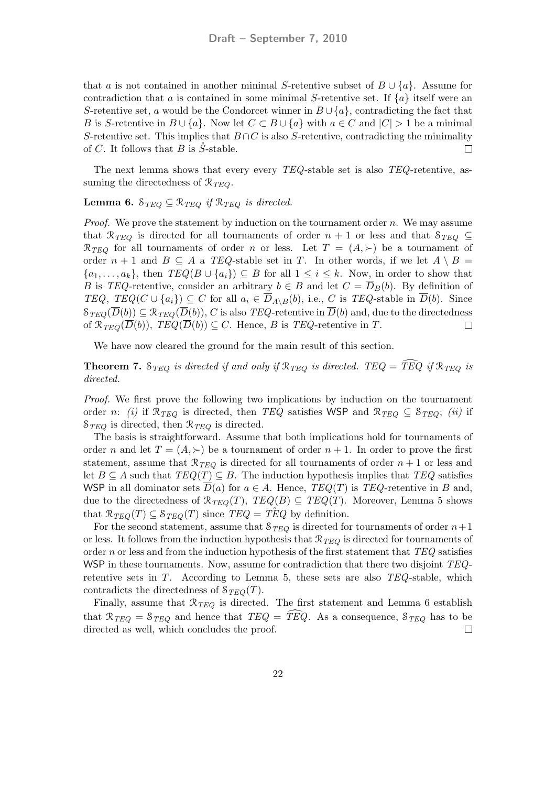that a is not contained in another minimal S-retentive subset of  $B \cup \{a\}$ . Assume for contradiction that a is contained in some minimal S-retentive set. If  $\{a\}$  itself were an S-retentive set, a would be the Condorcet winner in  $B\cup\{a\}$ , contradicting the fact that B is S-retentive in  $B \cup \{a\}$ . Now let  $C \subset B \cup \{a\}$  with  $a \in C$  and  $|C| > 1$  be a minimal S-retentive set. This implies that  $B \cap C$  is also S-retentive, contradicting the minimality of C. It follows that B is  $\check{S}$ -stable.  $\Box$ 

The next lemma shows that every every TEQ-stable set is also TEQ-retentive, assuming the directedness of  $\mathcal{R}_{TEO}$ .

### **Lemma 6.**  $S_{TEQ} \subseteq \mathcal{R}_{TEQ}$  if  $\mathcal{R}_{TEQ}$  is directed.

*Proof.* We prove the statement by induction on the tournament order  $n$ . We may assume that  $\mathcal{R}_{TEQ}$  is directed for all tournaments of order  $n + 1$  or less and that  $\mathcal{S}_{TEQ} \subseteq$  $\mathcal{R}_{TEO}$  for all tournaments of order n or less. Let  $T = (A, \succ)$  be a tournament of order  $n + 1$  and  $B \subseteq A$  a TEQ-stable set in T. In other words, if we let  $A \setminus B =$  $\{a_1, \ldots, a_k\}$ , then  $TEQ(B \cup \{a_i\}) \subseteq B$  for all  $1 \leq i \leq k$ . Now, in order to show that B is TEQ-retentive, consider an arbitrary  $b \in B$  and let  $C = \overline{D}_B(b)$ . By definition of TEQ, TEQ( $C \cup \{a_i\}$ )  $\subseteq C$  for all  $a_i \in \overline{D}_{A \setminus B}(b)$ , i.e., C is TEQ-stable in  $\overline{D}(b)$ . Since  $S_{TEO}(\overline{D}(b)) \subseteq \mathcal{R}_{TEO}(\overline{D}(b)),$  C is also TEQ-retentive in  $\overline{D}(b)$  and, due to the directedness of  $\mathcal{R}_{TEO}(\overline{D}(b)), \, TEQ(\overline{D}(b)) \subseteq C.$  Hence, B is TEQ-retentive in T.  $\Box$ 

We have now cleared the ground for the main result of this section.

**Theorem 7.** S<sub>TEQ</sub> is directed if and only if  $\mathcal{R}_{TEQ}$  is directed. TEQ =  $\widehat{TEQ}$  if  $\mathcal{R}_{TEQ}$  is directed.

Proof. We first prove the following two implications by induction on the tournament order n: (i) if  $\mathcal{R}_{TEQ}$  is directed, then TEQ satisfies WSP and  $\mathcal{R}_{TEQ} \subseteq \mathcal{S}_{TEQ}$ ; (ii) if  $S_{TEQ}$  is directed, then  $\mathcal{R}_{TEQ}$  is directed.

The basis is straightforward. Assume that both implications hold for tournaments of order n and let  $T = (A, \succ)$  be a tournament of order  $n + 1$ . In order to prove the first statement, assume that  $\mathcal{R}_{TEQ}$  is directed for all tournaments of order  $n+1$  or less and let  $B \subseteq A$  such that  $TEQ(T) \subseteq B$ . The induction hypothesis implies that  $TEQ$  satisfies WSP in all dominator sets  $\overline{D}(a)$  for  $a \in A$ . Hence,  $TEQ(T)$  is  $TEQ$ -retentive in B and, due to the directedness of  $\mathcal{R}_{TEQ}(T)$ ,  $TEQ(B) \subseteq TEQ(T)$ . Moreover, Lemma 5 shows that  $\mathcal{R}_{TEQ}(T) \subseteq \mathcal{S}_{TEQ}(T)$  since  $TEQ = TEQ$  by definition.

For the second statement, assume that  $S_{TEQ}$  is directed for tournaments of order  $n+1$ or less. It follows from the induction hypothesis that  $\mathcal{R}_{TEQ}$  is directed for tournaments of order n or less and from the induction hypothesis of the first statement that  $TEQ$  satisfies WSP in these tournaments. Now, assume for contradiction that there two disjoint  $TEQ$ retentive sets in  $T$ . According to Lemma 5, these sets are also  $TEQ$ -stable, which contradicts the directedness of  $\mathcal{S}_{TEQ}(T)$ .

Finally, assume that  $\mathcal{R}_{TEQ}$  is directed. The first statement and Lemma 6 establish that  $\mathcal{R}_{TEQ} = \mathcal{S}_{TEQ}$  and hence that  $TEQ = \overline{TEQ}$ . As a consequence,  $\mathcal{S}_{TEQ}$  has to be directed as well, which concludes the proof. directed as well, which concludes the proof.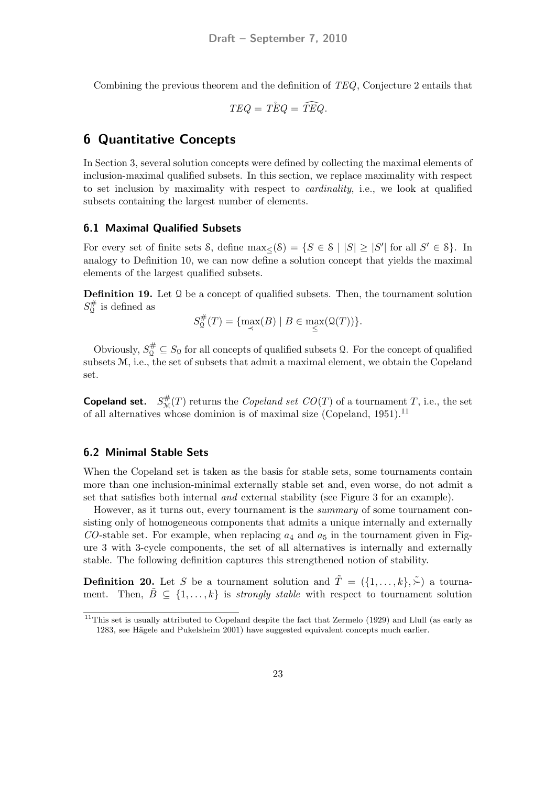Combining the previous theorem and the definition of TEQ, Conjecture 2 entails that

$$
TEQ = T\overset{\circ}{E}Q = \widehat{TEQ}.
$$

### 6 Quantitative Concepts

In Section 3, several solution concepts were defined by collecting the maximal elements of inclusion-maximal qualified subsets. In this section, we replace maximality with respect to set inclusion by maximality with respect to cardinality, i.e., we look at qualified subsets containing the largest number of elements.

#### 6.1 Maximal Qualified Subsets

For every set of finite sets S, define  $\max_{\leq} (S) = \{ S \in S \mid |S| \geq |S'| \text{ for all } S' \in S \}.$  In analogy to Definition 10, we can now define a solution concept that yields the maximal elements of the largest qualified subsets.

**Definition 19.** Let  $\Omega$  be a concept of qualified subsets. Then, the tournament solution  $S_0^{\#}$  $\mathcal{Q}^{\#}$  is defined as

$$
S_{{\mathfrak{Q}}}^{\#}(T)=\{\max_{\prec}(B)\mid B\in \max_{\le}( {\mathfrak{Q}}(T))\}.
$$

Obviously,  $S_0^{\#} \subseteq S_0$  for all concepts of qualified subsets Q. For the concept of qualified subsets M, i.e., the set of subsets that admit a maximal element, we obtain the Copeland set.

**Copeland set.**  $S^{\#}_{\mathcal{M}}(T)$  returns the *Copeland set CO(T)* of a tournament T, i.e., the set of all alternatives whose dominion is of maximal size (Copeland, 1951).<sup>11</sup>

#### 6.2 Minimal Stable Sets

When the Copeland set is taken as the basis for stable sets, some tournaments contain more than one inclusion-minimal externally stable set and, even worse, do not admit a set that satisfies both internal and external stability (see Figure 3 for an example).

However, as it turns out, every tournament is the summary of some tournament consisting only of homogeneous components that admits a unique internally and externally  $CO$ -stable set. For example, when replacing  $a_4$  and  $a_5$  in the tournament given in Figure 3 with 3-cycle components, the set of all alternatives is internally and externally stable. The following definition captures this strengthened notion of stability.

**Definition 20.** Let S be a tournament solution and  $\tilde{T} = (\{1, ..., k\}, \tilde{\succ})$  a tournament. Then,  $\tilde{B} \subseteq \{1, \ldots, k\}$  is *strongly stable* with respect to tournament solution

<sup>&</sup>lt;sup>11</sup>This set is usually attributed to Copeland despite the fact that Zermelo (1929) and Llull (as early as 1283, see Hägele and Pukelsheim 2001) have suggested equivalent concepts much earlier.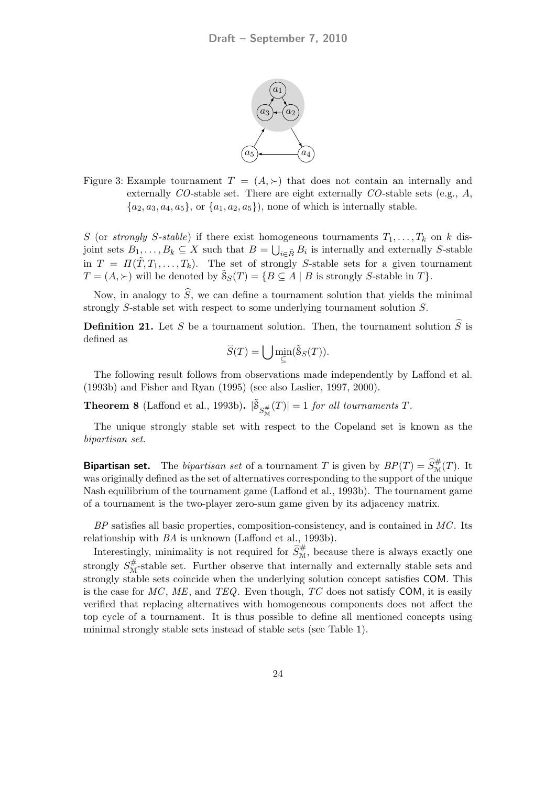

Figure 3: Example tournament  $T = (A, \succ)$  that does not contain an internally and externally  $CO$ -stable set. There are eight externally  $CO$ -stable sets (e.g.,  $A$ ,  ${a_2, a_3, a_4, a_5}$ , or  ${a_1, a_2, a_5}$ , none of which is internally stable.

S (or strongly S-stable) if there exist homogeneous tournaments  $T_1, \ldots, T_k$  on k disjoint sets  $B_1, \ldots, B_k \subseteq X$  such that  $B = \bigcup_{i \in \tilde{B}} B_i$  is internally and externally S-stable in  $T = \Pi(\tilde{T}, T_1, \ldots, T_k)$ . The set of strongly S-stable sets for a given tournament  $T = (A, \succ)$  will be denoted by  $\tilde{S}_S(T) = \{ B \subseteq A \mid B \text{ is strongly } S\text{-stable in } T \}.$ 

Now, in analogy to  $\hat{S}$ , we can define a tournament solution that yields the minimal strongly S-stable set with respect to some underlying tournament solution S.

**Definition 21.** Let S be a tournament solution. Then, the tournament solution  $\widehat{S}$  is defined as \_

$$
\widehat{S}(T) = \bigcup \min_{\subseteq} (\widetilde{S}_S(T)).
$$

The following result follows from observations made independently by Laffond et al. (1993b) and Fisher and Ryan (1995) (see also Laslier, 1997, 2000).

**Theorem 8** (Laffond et al., 1993b).  $|\tilde{\mathcal{S}}_{S_{\mathcal{M}}^{\#}}(T)| = 1$  for all tournaments T.

The unique strongly stable set with respect to the Copeland set is known as the bipartisan set.

**Bipartisan set.** The *bipartisan set* of a tournament T is given by  $BP(T) = \widehat{S}_{\mathcal{M}}^{\#}(T)$ . It was originally defined as the set of alternatives corresponding to the support of the unique Nash equilibrium of the tournament game (Laffond et al., 1993b). The tournament game of a tournament is the two-player zero-sum game given by its adjacency matrix.

 $BP$  satisfies all basic properties, composition-consistency, and is contained in  $MC$ . Its relationship with BA is unknown (Laffond et al., 1993b).

Interestingly, minimality is not required for  $\hat{S}_{\mathcal{M}}^{\#}$ , because there is always exactly one strongly  $S_{\mathcal{M}}^{\#}$ -stable set. Further observe that internally and externally stable sets and strongly stable sets coincide when the underlying solution concept satisfies COM. This is the case for  $MC$ ,  $ME$ , and  $TEQ$ . Even though,  $TC$  does not satisfy COM, it is easily verified that replacing alternatives with homogeneous components does not affect the top cycle of a tournament. It is thus possible to define all mentioned concepts using minimal strongly stable sets instead of stable sets (see Table 1).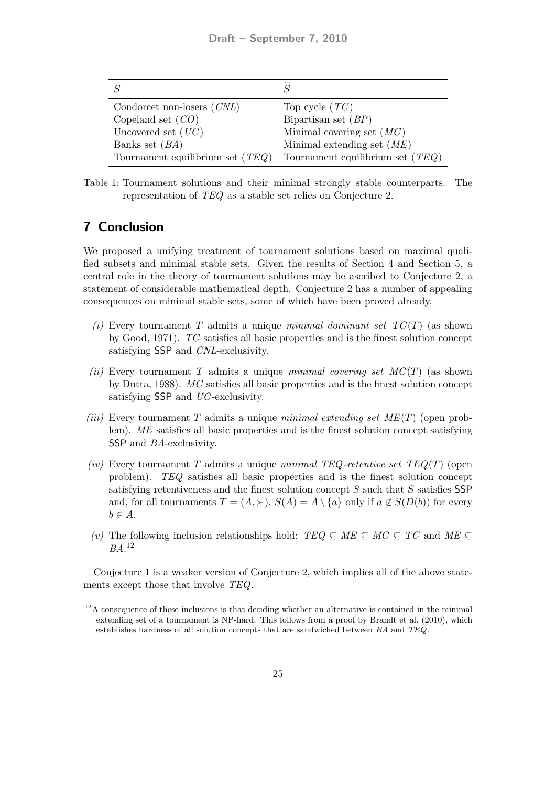| Condorcet non-losers $(CNL)$       | Top cycle $(TC)$                   |
|------------------------------------|------------------------------------|
| Copeland set $(CO)$                | Bipartisan set $(BP)$              |
| Uncovered set $(UC)$               | Minimal covering set $(MC)$        |
| Banks set $(BA)$                   | Minimal extending set $(ME)$       |
| Tournament equilibrium set $(TEQ)$ | Tournament equilibrium set $(TEQ)$ |

Table 1: Tournament solutions and their minimal strongly stable counterparts. The representation of TEQ as a stable set relies on Conjecture 2.

# 7 Conclusion

We proposed a unifying treatment of tournament solutions based on maximal qualified subsets and minimal stable sets. Given the results of Section 4 and Section 5, a central role in the theory of tournament solutions may be ascribed to Conjecture 2, a statement of considerable mathematical depth. Conjecture 2 has a number of appealing consequences on minimal stable sets, some of which have been proved already.

- (i) Every tournament T admits a unique minimal dominant set  $TC(T)$  (as shown by Good, 1971). TC satisfies all basic properties and is the finest solution concept satisfying SSP and CNL-exclusivity.
- (ii) Every tournament T admits a unique minimal covering set  $MC(T)$  (as shown by Dutta, 1988). MC satisfies all basic properties and is the finest solution concept satisfying SSP and UC-exclusivity.
- (iii) Every tournament T admits a unique minimal extending set  $ME(T)$  (open problem). ME satisfies all basic properties and is the finest solution concept satisfying SSP and BA-exclusivity.
- (iv) Every tournament T admits a unique minimal TEQ-retentive set  $TEQ(T)$  (open problem). TEQ satisfies all basic properties and is the finest solution concept satisfying retentiveness and the finest solution concept S such that S satisfies SSP and, for all tournaments  $T = (A, \succ), S(A) = A \setminus \{a\}$  only if  $a \notin S(\overline{D}(b))$  for every  $b \in A$ .
- (v) The following inclusion relationships hold:  $TEQ \subseteq ME \subseteq MC \subseteq TC$  and  $ME \subseteq$ BA. 12

Conjecture 1 is a weaker version of Conjecture 2, which implies all of the above statements except those that involve TEQ.

 $12A$  consequence of these inclusions is that deciding whether an alternative is contained in the minimal extending set of a tournament is NP-hard. This follows from a proof by Brandt et al. (2010), which establishes hardness of all solution concepts that are sandwiched between BA and TEQ.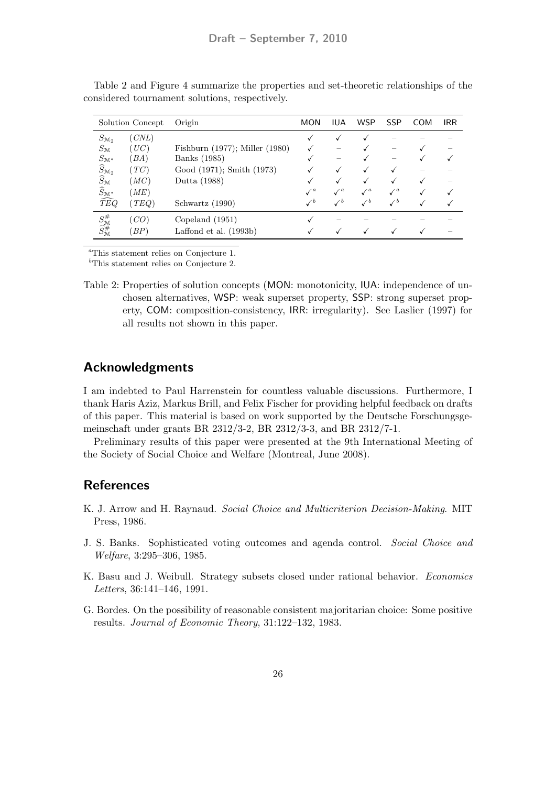| Solution Concept                                      |       | Origin                              | <b>MON</b>      | <b>IUA</b>      | <b>WSP</b>   | <b>SSP</b>      | <b>COM</b> | <b>IRR</b> |
|-------------------------------------------------------|-------|-------------------------------------|-----------------|-----------------|--------------|-----------------|------------|------------|
| $S_{\mathcal{M}_2}$                                   | (CNL) |                                     |                 |                 |              |                 |            |            |
| $S_{\mathfrak{M}}$                                    | (UC)  | Fishburn $(1977)$ ; Miller $(1980)$ |                 |                 |              |                 |            |            |
| $S_{\mathcal{M}^*}$                                   | (BA)  | Banks (1985)                        |                 |                 |              |                 |            |            |
| $\widehat{S}_{\mathcal{M}_2}$                         | (TC)  | Good (1971); Smith (1973)           |                 |                 |              |                 |            |            |
| $\widehat{S}_{\mathcal{M}}$                           | (MC)  | Dutta (1988)                        |                 |                 |              |                 |            |            |
| $\widehat{S}_{\mathcal{M}^*}$                         | (ME)  |                                     | $\sqrt{a}$      | $\mathcal{N}^a$ | $\sqrt{a}$   | $\sqrt{a}$      |            |            |
| $\widehat{TEQ}$                                       | (TEQ) | Schwartz (1990)                     | $\mathcal{N}^b$ | $\checkmark$    | $\checkmark$ | $\mathcal{N}^b$ |            |            |
| $S_{\mathcal{M}}^{\#} \widehat{S}_{\mathcal{M}}^{\#}$ | (CO)  | Copeland $(1951)$                   |                 |                 |              |                 |            |            |
|                                                       | (BP)  | Laffond et al. $(1993b)$            |                 |                 |              |                 |            |            |

Table 2 and Figure 4 summarize the properties and set-theoretic relationships of the considered tournament solutions, respectively.

<sup>a</sup>This statement relies on Conjecture 1.

 $<sup>b</sup>$ This statement relies on Conjecture 2.</sup>

Table 2: Properties of solution concepts (MON: monotonicity, IUA: independence of unchosen alternatives, WSP: weak superset property, SSP: strong superset property, COM: composition-consistency, IRR: irregularity). See Laslier (1997) for all results not shown in this paper.

### Acknowledgments

I am indebted to Paul Harrenstein for countless valuable discussions. Furthermore, I thank Haris Aziz, Markus Brill, and Felix Fischer for providing helpful feedback on drafts of this paper. This material is based on work supported by the Deutsche Forschungsgemeinschaft under grants BR 2312/3-2, BR 2312/3-3, and BR 2312/7-1.

Preliminary results of this paper were presented at the 9th International Meeting of the Society of Social Choice and Welfare (Montreal, June 2008).

## **References**

- K. J. Arrow and H. Raynaud. Social Choice and Multicriterion Decision-Making. MIT Press, 1986.
- J. S. Banks. Sophisticated voting outcomes and agenda control. Social Choice and Welfare, 3:295–306, 1985.
- K. Basu and J. Weibull. Strategy subsets closed under rational behavior. Economics Letters, 36:141–146, 1991.
- G. Bordes. On the possibility of reasonable consistent majoritarian choice: Some positive results. Journal of Economic Theory, 31:122–132, 1983.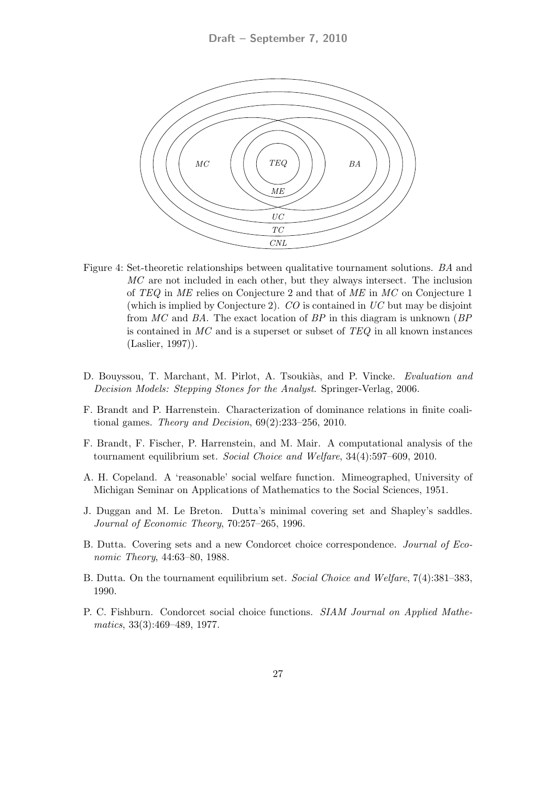

- Figure 4: Set-theoretic relationships between qualitative tournament solutions. BA and MC are not included in each other, but they always intersect. The inclusion of TEQ in ME relies on Conjecture 2 and that of ME in MC on Conjecture 1 (which is implied by Conjecture 2).  $CO$  is contained in  $UC$  but may be disjoint from  $MC$  and BA. The exact location of BP in this diagram is unknown (BP) is contained in  $MC$  and is a superset or subset of  $TEQ$  in all known instances (Laslier, 1997)).
- D. Bouyssou, T. Marchant, M. Pirlot, A. Tsoukiàs, and P. Vincke. Evaluation and Decision Models: Stepping Stones for the Analyst. Springer-Verlag, 2006.
- F. Brandt and P. Harrenstein. Characterization of dominance relations in finite coalitional games. Theory and Decision, 69(2):233–256, 2010.
- F. Brandt, F. Fischer, P. Harrenstein, and M. Mair. A computational analysis of the tournament equilibrium set. Social Choice and Welfare, 34(4):597–609, 2010.
- A. H. Copeland. A 'reasonable' social welfare function. Mimeographed, University of Michigan Seminar on Applications of Mathematics to the Social Sciences, 1951.
- J. Duggan and M. Le Breton. Dutta's minimal covering set and Shapley's saddles. Journal of Economic Theory, 70:257–265, 1996.
- B. Dutta. Covering sets and a new Condorcet choice correspondence. Journal of Economic Theory, 44:63–80, 1988.
- B. Dutta. On the tournament equilibrium set. Social Choice and Welfare, 7(4):381–383, 1990.
- P. C. Fishburn. Condorcet social choice functions. SIAM Journal on Applied Mathematics, 33(3):469–489, 1977.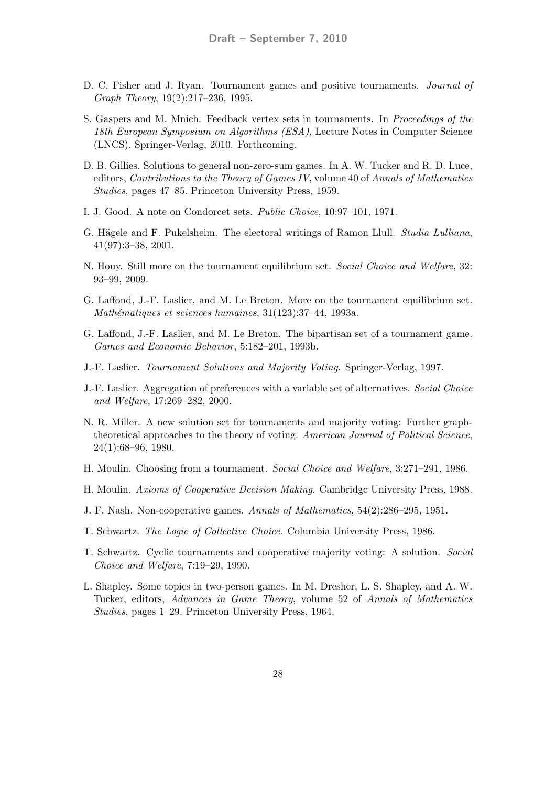- D. C. Fisher and J. Ryan. Tournament games and positive tournaments. Journal of Graph Theory, 19(2):217–236, 1995.
- S. Gaspers and M. Mnich. Feedback vertex sets in tournaments. In Proceedings of the 18th European Symposium on Algorithms (ESA), Lecture Notes in Computer Science (LNCS). Springer-Verlag, 2010. Forthcoming.
- D. B. Gillies. Solutions to general non-zero-sum games. In A. W. Tucker and R. D. Luce, editors, Contributions to the Theory of Games IV, volume 40 of Annals of Mathematics Studies, pages 47–85. Princeton University Press, 1959.
- I. J. Good. A note on Condorcet sets. Public Choice, 10:97–101, 1971.
- G. Hägele and F. Pukelsheim. The electoral writings of Ramon Llull. *Studia Lulliana*, 41(97):3–38, 2001.
- N. Houy. Still more on the tournament equilibrium set. Social Choice and Welfare, 32: 93–99, 2009.
- G. Laffond, J.-F. Laslier, and M. Le Breton. More on the tournament equilibrium set. Mathématiques et sciences humaines,  $31(123):37-44$ , 1993a.
- G. Laffond, J.-F. Laslier, and M. Le Breton. The bipartisan set of a tournament game. Games and Economic Behavior, 5:182–201, 1993b.
- J.-F. Laslier. Tournament Solutions and Majority Voting. Springer-Verlag, 1997.
- J.-F. Laslier. Aggregation of preferences with a variable set of alternatives. Social Choice and Welfare, 17:269–282, 2000.
- N. R. Miller. A new solution set for tournaments and majority voting: Further graphtheoretical approaches to the theory of voting. American Journal of Political Science, 24(1):68–96, 1980.
- H. Moulin. Choosing from a tournament. Social Choice and Welfare, 3:271–291, 1986.
- H. Moulin. Axioms of Cooperative Decision Making. Cambridge University Press, 1988.
- J. F. Nash. Non-cooperative games. Annals of Mathematics, 54(2):286–295, 1951.
- T. Schwartz. The Logic of Collective Choice. Columbia University Press, 1986.
- T. Schwartz. Cyclic tournaments and cooperative majority voting: A solution. Social Choice and Welfare, 7:19–29, 1990.
- L. Shapley. Some topics in two-person games. In M. Dresher, L. S. Shapley, and A. W. Tucker, editors, Advances in Game Theory, volume 52 of Annals of Mathematics Studies, pages 1–29. Princeton University Press, 1964.